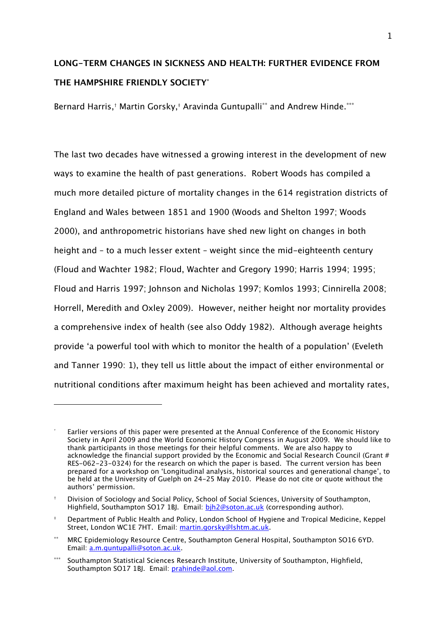# LONG-TERM CHANGES IN SICKNESS AND HEALTH: FURTHER EVIDENCE FROM THE HAMPSHIRE FRIENDI Y SOCIETY\*

Bernard Harris,† Martin Gorsky,‡ Aravinda Guntupalli<sup>∗∗</sup> and Andrew Hinde.<sup>∗</sup>\*\*

The last two decades have witnessed a growing interest in the development of new ways to examine the health of past generations. Robert Woods has compiled a much more detailed picture of mortality changes in the 614 registration districts of England and Wales between 1851 and 1900 (Woods and Shelton 1997; Woods 2000), and anthropometric historians have shed new light on changes in both height and – to a much lesser extent – weight since the mid-eighteenth century (Floud and Wachter 1982; Floud, Wachter and Gregory 1990; Harris 1994; 1995; Floud and Harris 1997; Johnson and Nicholas 1997; Komlos 1993; Cinnirella 2008; Horrell, Meredith and Oxley 2009). However, neither height nor mortality provides a comprehensive index of health (see also Oddy 1982). Although average heights provide 'a powerful tool with which to monitor the health of a population' (Eveleth and Tanner 1990: 1), they tell us little about the impact of either environmental or nutritional conditions after maximum height has been achieved and mortality rates,

ł

<sup>\*</sup> Earlier versions of this paper were presented at the Annual Conference of the Economic History Society in April 2009 and the World Economic History Congress in August 2009. We should like to thank participants in those meetings for their helpful comments. We are also happy to acknowledge the financial support provided by the Economic and Social Research Council (Grant # RES-062-23-0324) for the research on which the paper is based. The current version has been prepared for a workshop on 'Longitudinal analysis, historical sources and generational change', to be held at the University of Guelph on 24-25 May 2010. Please do not cite or quote without the authors' permission.

<sup>†</sup> Division of Sociology and Social Policy, School of Social Sciences, University of Southampton, Highfield, Southampton SO17 1BJ. Email: bih2@soton.ac.uk (corresponding author).

<sup>‡</sup> Department of Public Health and Policy, London School of Hygiene and Tropical Medicine, Keppel Street, London WC1E 7HT. Email: martin.gorsky@lshtm.ac.uk.

<sup>∗∗</sup> MRC Epidemiology Resource Centre, Southampton General Hospital, Southampton SO16 6YD. Email: a.m.guntupalli@soton.ac.uk.

<sup>∗∗∗</sup> Southampton Statistical Sciences Research Institute, University of Southampton, Highfield, Southampton SO17 1BJ. Email: prahinde@aol.com.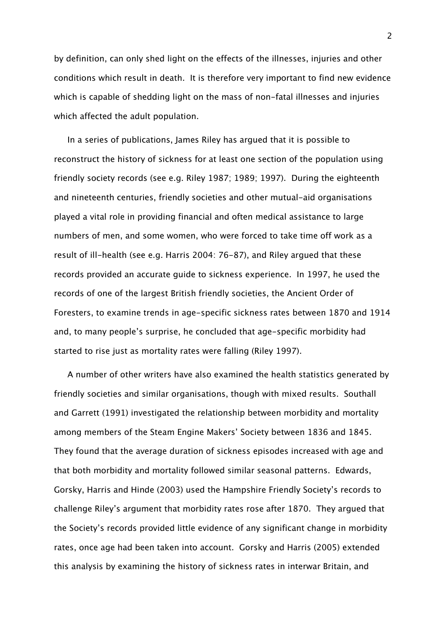by definition, can only shed light on the effects of the illnesses, injuries and other conditions which result in death. It is therefore very important to find new evidence which is capable of shedding light on the mass of non-fatal illnesses and injuries which affected the adult population.

In a series of publications, James Riley has argued that it is possible to reconstruct the history of sickness for at least one section of the population using friendly society records (see e.g. Riley 1987; 1989; 1997). During the eighteenth and nineteenth centuries, friendly societies and other mutual-aid organisations played a vital role in providing financial and often medical assistance to large numbers of men, and some women, who were forced to take time off work as a result of ill-health (see e.g. Harris 2004: 76-87), and Riley argued that these records provided an accurate guide to sickness experience. In 1997, he used the records of one of the largest British friendly societies, the Ancient Order of Foresters, to examine trends in age-specific sickness rates between 1870 and 1914 and, to many people's surprise, he concluded that age-specific morbidity had started to rise just as mortality rates were falling (Riley 1997).

A number of other writers have also examined the health statistics generated by friendly societies and similar organisations, though with mixed results. Southall and Garrett (1991) investigated the relationship between morbidity and mortality among members of the Steam Engine Makers' Society between 1836 and 1845. They found that the average duration of sickness episodes increased with age and that both morbidity and mortality followed similar seasonal patterns. Edwards, Gorsky, Harris and Hinde (2003) used the Hampshire Friendly Society's records to challenge Riley's argument that morbidity rates rose after 1870. They argued that the Society's records provided little evidence of any significant change in morbidity rates, once age had been taken into account. Gorsky and Harris (2005) extended this analysis by examining the history of sickness rates in interwar Britain, and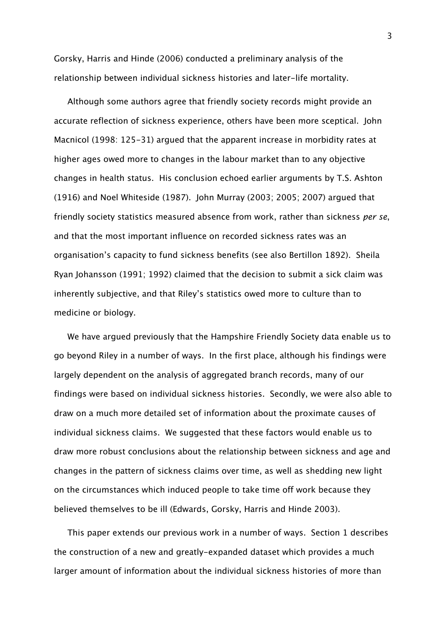Gorsky, Harris and Hinde (2006) conducted a preliminary analysis of the relationship between individual sickness histories and later-life mortality.

Although some authors agree that friendly society records might provide an accurate reflection of sickness experience, others have been more sceptical. John Macnicol (1998: 125-31) argued that the apparent increase in morbidity rates at higher ages owed more to changes in the labour market than to any objective changes in health status. His conclusion echoed earlier arguments by T.S. Ashton (1916) and Noel Whiteside (1987). John Murray (2003; 2005; 2007) argued that friendly society statistics measured absence from work, rather than sickness per se, and that the most important influence on recorded sickness rates was an organisation's capacity to fund sickness benefits (see also Bertillon 1892). Sheila Ryan Johansson (1991; 1992) claimed that the decision to submit a sick claim was inherently subjective, and that Riley's statistics owed more to culture than to medicine or biology.

We have argued previously that the Hampshire Friendly Society data enable us to go beyond Riley in a number of ways. In the first place, although his findings were largely dependent on the analysis of aggregated branch records, many of our findings were based on individual sickness histories. Secondly, we were also able to draw on a much more detailed set of information about the proximate causes of individual sickness claims. We suggested that these factors would enable us to draw more robust conclusions about the relationship between sickness and age and changes in the pattern of sickness claims over time, as well as shedding new light on the circumstances which induced people to take time off work because they believed themselves to be ill (Edwards, Gorsky, Harris and Hinde 2003).

This paper extends our previous work in a number of ways. Section 1 describes the construction of a new and greatly-expanded dataset which provides a much larger amount of information about the individual sickness histories of more than

3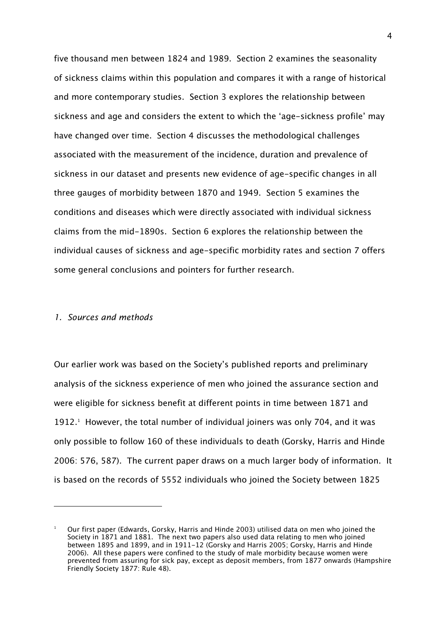five thousand men between 1824 and 1989. Section 2 examines the seasonality of sickness claims within this population and compares it with a range of historical and more contemporary studies. Section 3 explores the relationship between sickness and age and considers the extent to which the 'age-sickness profile' may have changed over time. Section 4 discusses the methodological challenges associated with the measurement of the incidence, duration and prevalence of sickness in our dataset and presents new evidence of age-specific changes in all three gauges of morbidity between 1870 and 1949. Section 5 examines the conditions and diseases which were directly associated with individual sickness claims from the mid-1890s. Section 6 explores the relationship between the individual causes of sickness and age-specific morbidity rates and section 7 offers some general conclusions and pointers for further research.

## 1. Sources and methods

ł

Our earlier work was based on the Society's published reports and preliminary analysis of the sickness experience of men who joined the assurance section and were eligible for sickness benefit at different points in time between 1871 and 1912.<sup>1</sup> However, the total number of individual joiners was only 704, and it was only possible to follow 160 of these individuals to death (Gorsky, Harris and Hinde 2006: 576, 587). The current paper draws on a much larger body of information. It is based on the records of 5552 individuals who joined the Society between 1825

<sup>1</sup> Our first paper (Edwards, Gorsky, Harris and Hinde 2003) utilised data on men who joined the Society in 1871 and 1881. The next two papers also used data relating to men who joined between 1895 and 1899, and in 1911-12 (Gorsky and Harris 2005; Gorsky, Harris and Hinde 2006). All these papers were confined to the study of male morbidity because women were prevented from assuring for sick pay, except as deposit members, from 1877 onwards (Hampshire Friendly Society 1877: Rule 48).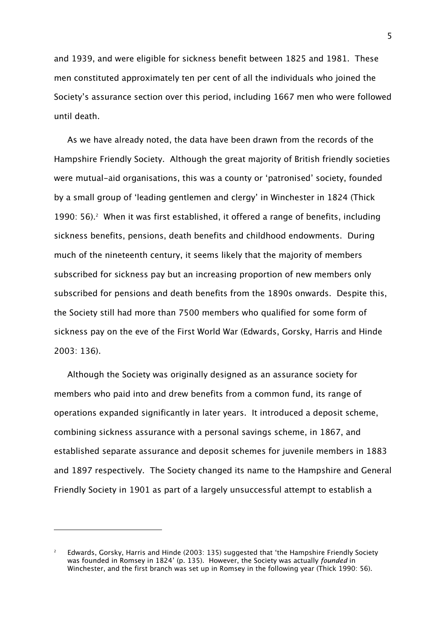and 1939, and were eligible for sickness benefit between 1825 and 1981. These men constituted approximately ten per cent of all the individuals who joined the Society's assurance section over this period, including 1667 men who were followed until death.

As we have already noted, the data have been drawn from the records of the Hampshire Friendly Society. Although the great majority of British friendly societies were mutual-aid organisations, this was a county or 'patronised' society, founded by a small group of 'leading gentlemen and clergy' in Winchester in 1824 (Thick 1990: 56).<sup>2</sup> When it was first established, it offered a range of benefits, including sickness benefits, pensions, death benefits and childhood endowments. During much of the nineteenth century, it seems likely that the majority of members subscribed for sickness pay but an increasing proportion of new members only subscribed for pensions and death benefits from the 1890s onwards. Despite this, the Society still had more than 7500 members who qualified for some form of sickness pay on the eve of the First World War (Edwards, Gorsky, Harris and Hinde 2003: 136).

Although the Society was originally designed as an assurance society for members who paid into and drew benefits from a common fund, its range of operations expanded significantly in later years. It introduced a deposit scheme, combining sickness assurance with a personal savings scheme, in 1867, and established separate assurance and deposit schemes for juvenile members in 1883 and 1897 respectively. The Society changed its name to the Hampshire and General Friendly Society in 1901 as part of a largely unsuccessful attempt to establish a

<sup>2</sup> Edwards, Gorsky, Harris and Hinde (2003: 135) suggested that 'the Hampshire Friendly Society was founded in Romsey in 1824' (p. 135). However, the Society was actually founded in Winchester, and the first branch was set up in Romsey in the following year (Thick 1990: 56).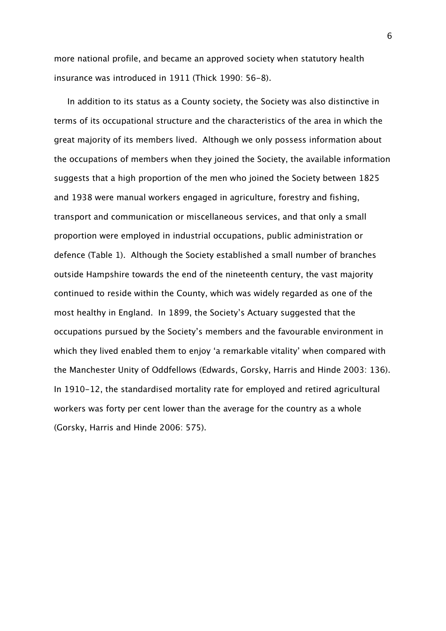more national profile, and became an approved society when statutory health insurance was introduced in 1911 (Thick 1990: 56-8).

In addition to its status as a County society, the Society was also distinctive in terms of its occupational structure and the characteristics of the area in which the great majority of its members lived. Although we only possess information about the occupations of members when they joined the Society, the available information suggests that a high proportion of the men who joined the Society between 1825 and 1938 were manual workers engaged in agriculture, forestry and fishing, transport and communication or miscellaneous services, and that only a small proportion were employed in industrial occupations, public administration or defence (Table 1). Although the Society established a small number of branches outside Hampshire towards the end of the nineteenth century, the vast majority continued to reside within the County, which was widely regarded as one of the most healthy in England. In 1899, the Society's Actuary suggested that the occupations pursued by the Society's members and the favourable environment in which they lived enabled them to enjoy 'a remarkable vitality' when compared with the Manchester Unity of Oddfellows (Edwards, Gorsky, Harris and Hinde 2003: 136). In 1910-12, the standardised mortality rate for employed and retired agricultural workers was forty per cent lower than the average for the country as a whole (Gorsky, Harris and Hinde 2006: 575).

6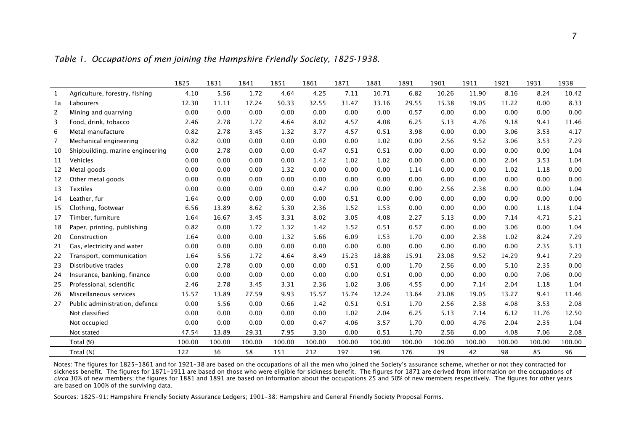Table 1. Occupations of men joining the Hampshire Friendly Society, 1825-1938.

|              |                                  | 1825   | 1831   | 1841   | 1851   | 1861   | 1871   | 1881   | 1891   | 1901   | 1911   | 1921   | 1931   | 1938   |
|--------------|----------------------------------|--------|--------|--------|--------|--------|--------|--------|--------|--------|--------|--------|--------|--------|
| $\mathbf{1}$ | Agriculture, forestry, fishing   | 4.10   | 5.56   | 1.72   | 4.64   | 4.25   | 7.11   | 10.71  | 6.82   | 10.26  | 11.90  | 8.16   | 8.24   | 10.42  |
| 1a           | Labourers                        | 12.30  | 11.11  | 17.24  | 50.33  | 32.55  | 31.47  | 33.16  | 29.55  | 15.38  | 19.05  | 11.22  | 0.00   | 8.33   |
| 2            | Mining and quarrying             | 0.00   | 0.00   | 0.00   | 0.00   | 0.00   | 0.00   | 0.00   | 0.57   | 0.00   | 0.00   | 0.00   | 0.00   | 0.00   |
| 3            | Food, drink, tobacco             | 2.46   | 2.78   | 1.72   | 4.64   | 8.02   | 4.57   | 4.08   | 6.25   | 5.13   | 4.76   | 9.18   | 9.41   | 11.46  |
| 6            | Metal manufacture                | 0.82   | 2.78   | 3.45   | 1.32   | 3.77   | 4.57   | 0.51   | 3.98   | 0.00   | 0.00   | 3.06   | 3.53   | 4.17   |
| 7            | Mechanical engineering           | 0.82   | 0.00   | 0.00   | 0.00   | 0.00   | 0.00   | 1.02   | 0.00   | 2.56   | 9.52   | 3.06   | 3.53   | 7.29   |
| 10           | Shipbuilding, marine engineering | 0.00   | 2.78   | 0.00   | 0.00   | 0.47   | 0.51   | 0.51   | 0.00   | 0.00   | 0.00   | 0.00   | 0.00   | 1.04   |
| 11           | Vehicles                         | 0.00   | 0.00   | 0.00   | 0.00   | 1.42   | 1.02   | 1.02   | 0.00   | 0.00   | 0.00   | 2.04   | 3.53   | 1.04   |
| 12           | Metal goods                      | 0.00   | 0.00   | 0.00   | 1.32   | 0.00   | 0.00   | 0.00   | 1.14   | 0.00   | 0.00   | 1.02   | 1.18   | 0.00   |
| 12           | Other metal goods                | 0.00   | 0.00   | 0.00   | 0.00   | 0.00   | 0.00   | 0.00   | 0.00   | 0.00   | 0.00   | 0.00   | 0.00   | 0.00   |
| 13           | <b>Textiles</b>                  | 0.00   | 0.00   | 0.00   | 0.00   | 0.47   | 0.00   | 0.00   | 0.00   | 2.56   | 2.38   | 0.00   | 0.00   | 1.04   |
| 14           | Leather, fur                     | 1.64   | 0.00   | 0.00   | 0.00   | 0.00   | 0.51   | 0.00   | 0.00   | 0.00   | 0.00   | 0.00   | 0.00   | 0.00   |
| 15           | Clothing, footwear               | 6.56   | 13.89  | 8.62   | 5.30   | 2.36   | 1.52   | 1.53   | 0.00   | 0.00   | 0.00   | 0.00   | 1.18   | 1.04   |
| 17           | Timber, furniture                | 1.64   | 16.67  | 3.45   | 3.31   | 8.02   | 3.05   | 4.08   | 2.27   | 5.13   | 0.00   | 7.14   | 4.71   | 5.21   |
| 18           | Paper, printing, publishing      | 0.82   | 0.00   | 1.72   | 1.32   | 1.42   | 1.52   | 0.51   | 0.57   | 0.00   | 0.00   | 3.06   | 0.00   | 1.04   |
| 20           | Construction                     | 1.64   | 0.00   | 0.00   | 1.32   | 5.66   | 6.09   | 1.53   | 1.70   | 0.00   | 2.38   | 1.02   | 8.24   | 7.29   |
| 21           | Gas, electricity and water       | 0.00   | 0.00   | 0.00   | 0.00   | 0.00   | 0.00   | 0.00   | 0.00   | 0.00   | 0.00   | 0.00   | 2.35   | 3.13   |
| 22           | Transport, communication         | 1.64   | 5.56   | 1.72   | 4.64   | 8.49   | 15.23  | 18.88  | 15.91  | 23.08  | 9.52   | 14.29  | 9.41   | 7.29   |
| 23           | Distributive trades              | 0.00   | 2.78   | 0.00   | 0.00   | 0.00   | 0.51   | 0.00   | 1.70   | 2.56   | 0.00   | 5.10   | 2.35   | 0.00   |
| 24           | Insurance, banking, finance      | 0.00   | 0.00   | 0.00   | 0.00   | 0.00   | 0.00   | 0.51   | 0.00   | 0.00   | 0.00   | 0.00   | 7.06   | 0.00   |
| 25           | Professional, scientific         | 2.46   | 2.78   | 3.45   | 3.31   | 2.36   | 1.02   | 3.06   | 4.55   | 0.00   | 7.14   | 2.04   | 1.18   | 1.04   |
| 26           | Miscellaneous services           | 15.57  | 13.89  | 27.59  | 9.93   | 15.57  | 15.74  | 12.24  | 13.64  | 23.08  | 19.05  | 13.27  | 9.41   | 11.46  |
| 27           | Public administration, defence   | 0.00   | 5.56   | 0.00   | 0.66   | 1.42   | 0.51   | 0.51   | 1.70   | 2.56   | 2.38   | 4.08   | 3.53   | 2.08   |
|              | Not classified                   | 0.00   | 0.00   | 0.00   | 0.00   | 0.00   | 1.02   | 2.04   | 6.25   | 5.13   | 7.14   | 6.12   | 11.76  | 12.50  |
|              | Not occupied                     | 0.00   | 0.00   | 0.00   | 0.00   | 0.47   | 4.06   | 3.57   | 1.70   | 0.00   | 4.76   | 2.04   | 2.35   | 1.04   |
|              | Not stated                       | 47.54  | 13.89  | 29.31  | 7.95   | 3.30   | 0.00   | 0.51   | 1.70   | 2.56   | 0.00   | 4.08   | 7.06   | 2.08   |
|              | Total (%)                        | 100.00 | 100.00 | 100.00 | 100.00 | 100.00 | 100.00 | 100.00 | 100.00 | 100.00 | 100.00 | 100.00 | 100.00 | 100.00 |
|              | Total (N)                        | 122    | 36     | 58     | 151    | 212    | 197    | 196    | 176    | 39     | 42     | 98     | 85     | 96     |

Notes: The figures for 1825–1861 and for 1921–38 are based on the occupations of all the men who joined the Society's assurance scheme, whether or not they contracted for<br>sickness benefit. The figures for 1871–1911 are ba circa 30% of new members; the figures for 1881 and 1891 are based on information about the occupations 25 and 50% of new members respectively. The figures for other years are based on 100% of the surviving data.

Sources: 1825-91: Hampshire Friendly Society Assurance Ledgers; 1901-38: Hampshire and General Friendly Society Proposal Forms.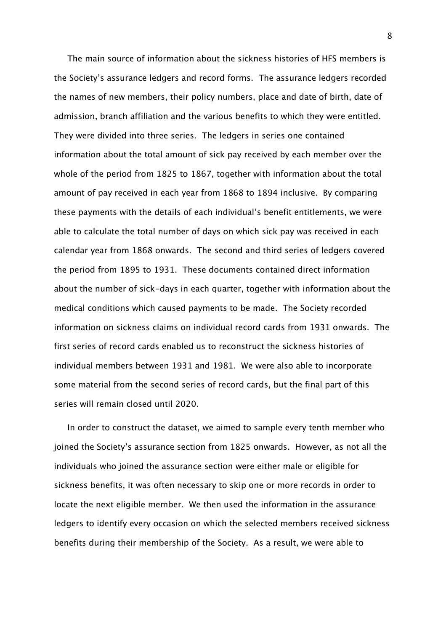The main source of information about the sickness histories of HFS members is the Society's assurance ledgers and record forms. The assurance ledgers recorded the names of new members, their policy numbers, place and date of birth, date of admission, branch affiliation and the various benefits to which they were entitled. They were divided into three series. The ledgers in series one contained information about the total amount of sick pay received by each member over the whole of the period from 1825 to 1867, together with information about the total amount of pay received in each year from 1868 to 1894 inclusive. By comparing these payments with the details of each individual's benefit entitlements, we were able to calculate the total number of days on which sick pay was received in each calendar year from 1868 onwards. The second and third series of ledgers covered the period from 1895 to 1931. These documents contained direct information about the number of sick-days in each quarter, together with information about the medical conditions which caused payments to be made. The Society recorded information on sickness claims on individual record cards from 1931 onwards. The first series of record cards enabled us to reconstruct the sickness histories of individual members between 1931 and 1981. We were also able to incorporate some material from the second series of record cards, but the final part of this series will remain closed until 2020.

In order to construct the dataset, we aimed to sample every tenth member who joined the Society's assurance section from 1825 onwards. However, as not all the individuals who joined the assurance section were either male or eligible for sickness benefits, it was often necessary to skip one or more records in order to locate the next eligible member. We then used the information in the assurance ledgers to identify every occasion on which the selected members received sickness benefits during their membership of the Society. As a result, we were able to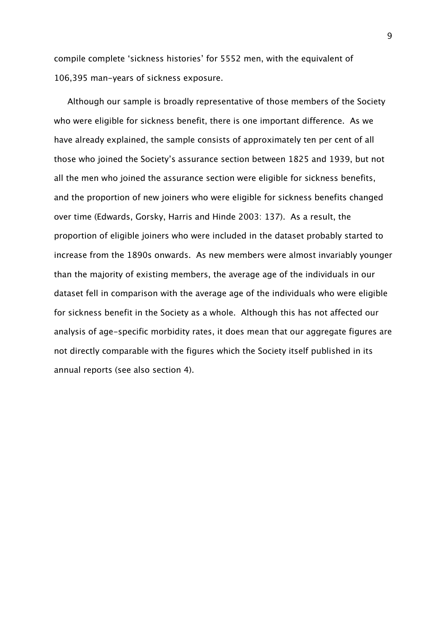compile complete 'sickness histories' for 5552 men, with the equivalent of 106,395 man-years of sickness exposure.

Although our sample is broadly representative of those members of the Society who were eligible for sickness benefit, there is one important difference. As we have already explained, the sample consists of approximately ten per cent of all those who joined the Society's assurance section between 1825 and 1939, but not all the men who joined the assurance section were eligible for sickness benefits, and the proportion of new joiners who were eligible for sickness benefits changed over time (Edwards, Gorsky, Harris and Hinde 2003: 137). As a result, the proportion of eligible joiners who were included in the dataset probably started to increase from the 1890s onwards. As new members were almost invariably younger than the majority of existing members, the average age of the individuals in our dataset fell in comparison with the average age of the individuals who were eligible for sickness benefit in the Society as a whole. Although this has not affected our analysis of age-specific morbidity rates, it does mean that our aggregate figures are not directly comparable with the figures which the Society itself published in its annual reports (see also section 4).

9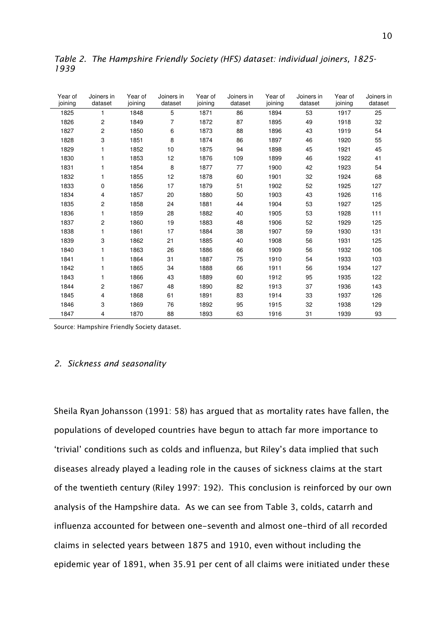| Year of<br>joining | Joiners in<br>dataset | Year of<br>joining | Joiners in<br>dataset | Year of<br>joining | Joiners in<br>dataset | Year of<br>joining | Joiners in<br>dataset | Year of<br>joining | Joiners in<br>dataset |
|--------------------|-----------------------|--------------------|-----------------------|--------------------|-----------------------|--------------------|-----------------------|--------------------|-----------------------|
| 1825               | 1                     | 1848               | 5                     | 1871               | 86                    | 1894               | 53                    | 1917               | 25                    |
| 1826               | 2                     | 1849               | 7                     | 1872               | 87                    | 1895               | 49                    | 1918               | 32                    |
| 1827               | $\overline{c}$        | 1850               | 6                     | 1873               | 88                    | 1896               | 43                    | 1919               | 54                    |
| 1828               | 3                     | 1851               | 8                     | 1874               | 86                    | 1897               | 46                    | 1920               | 55                    |
| 1829               | 1                     | 1852               | 10                    | 1875               | 94                    | 1898               | 45                    | 1921               | 45                    |
| 1830               | 1                     | 1853               | 12                    | 1876               | 109                   | 1899               | 46                    | 1922               | 41                    |
| 1831               | 1                     | 1854               | 8                     | 1877               | 77                    | 1900               | 42                    | 1923               | 54                    |
| 1832               | 1                     | 1855               | 12                    | 1878               | 60                    | 1901               | 32                    | 1924               | 68                    |
| 1833               | 0                     | 1856               | 17                    | 1879               | 51                    | 1902               | 52                    | 1925               | 127                   |
| 1834               | 4                     | 1857               | 20                    | 1880               | 50                    | 1903               | 43                    | 1926               | 116                   |
| 1835               | 2                     | 1858               | 24                    | 1881               | 44                    | 1904               | 53                    | 1927               | 125                   |
| 1836               | 1                     | 1859               | 28                    | 1882               | 40                    | 1905               | 53                    | 1928               | 111                   |
| 1837               | 2                     | 1860               | 19                    | 1883               | 48                    | 1906               | 52                    | 1929               | 125                   |
| 1838               | 1                     | 1861               | 17                    | 1884               | 38                    | 1907               | 59                    | 1930               | 131                   |
| 1839               | 3                     | 1862               | 21                    | 1885               | 40                    | 1908               | 56                    | 1931               | 125                   |
| 1840               | 1                     | 1863               | 26                    | 1886               | 66                    | 1909               | 56                    | 1932               | 106                   |
| 1841               | 1                     | 1864               | 31                    | 1887               | 75                    | 1910               | 54                    | 1933               | 103                   |
| 1842               | 1                     | 1865               | 34                    | 1888               | 66                    | 1911               | 56                    | 1934               | 127                   |
| 1843               | 1                     | 1866               | 43                    | 1889               | 60                    | 1912               | 95                    | 1935               | 122                   |
| 1844               | 2                     | 1867               | 48                    | 1890               | 82                    | 1913               | 37                    | 1936               | 143                   |
| 1845               | 4                     | 1868               | 61                    | 1891               | 83                    | 1914               | 33                    | 1937               | 126                   |
| 1846               | 3                     | 1869               | 76                    | 1892               | 95                    | 1915               | 32                    | 1938               | 129                   |
| 1847               | 4                     | 1870               | 88                    | 1893               | 63                    | 1916               | 31                    | 1939               | 93                    |

Table 2. The Hampshire Friendly Society (HFS) dataset: individual joiners, 1825- 1939

Source: Hampshire Friendly Society dataset.

### 2. Sickness and seasonality

Sheila Ryan Johansson (1991: 58) has argued that as mortality rates have fallen, the populations of developed countries have begun to attach far more importance to 'trivial' conditions such as colds and influenza, but Riley's data implied that such diseases already played a leading role in the causes of sickness claims at the start of the twentieth century (Riley 1997: 192). This conclusion is reinforced by our own analysis of the Hampshire data. As we can see from Table 3, colds, catarrh and influenza accounted for between one-seventh and almost one-third of all recorded claims in selected years between 1875 and 1910, even without including the epidemic year of 1891, when 35.91 per cent of all claims were initiated under these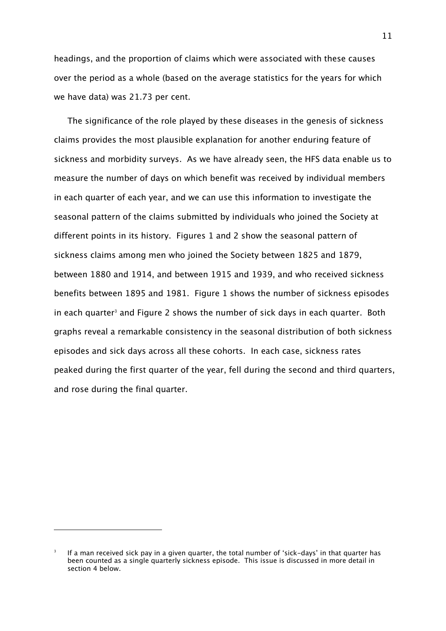headings, and the proportion of claims which were associated with these causes over the period as a whole (based on the average statistics for the years for which we have data) was 21.73 per cent.

The significance of the role played by these diseases in the genesis of sickness claims provides the most plausible explanation for another enduring feature of sickness and morbidity surveys. As we have already seen, the HFS data enable us to measure the number of days on which benefit was received by individual members in each quarter of each year, and we can use this information to investigate the seasonal pattern of the claims submitted by individuals who joined the Society at different points in its history. Figures 1 and 2 show the seasonal pattern of sickness claims among men who joined the Society between 1825 and 1879, between 1880 and 1914, and between 1915 and 1939, and who received sickness benefits between 1895 and 1981. Figure 1 shows the number of sickness episodes in each quarter<sup>3</sup> and Figure 2 shows the number of sick days in each quarter. Both graphs reveal a remarkable consistency in the seasonal distribution of both sickness episodes and sick days across all these cohorts. In each case, sickness rates peaked during the first quarter of the year, fell during the second and third quarters, and rose during the final quarter.

ł

<sup>3</sup> If a man received sick pay in a given quarter, the total number of 'sick-days' in that quarter has been counted as a single quarterly sickness episode. This issue is discussed in more detail in section 4 below.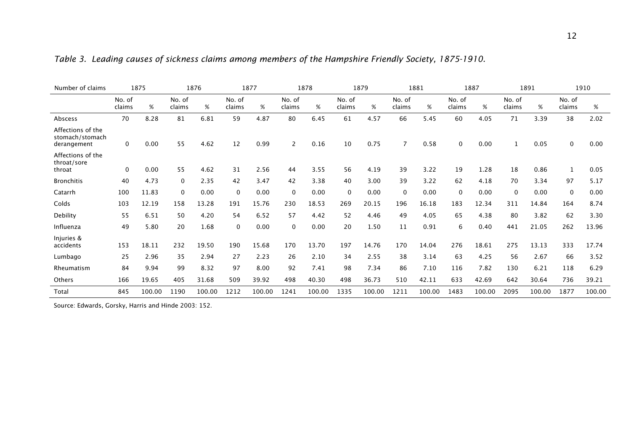| Number of claims                                    |                  | 1875   |                  | 1876   |                  | 1877   |                  | 1878   |                  | 1879   |                  | 1881   |                  | 1887   |                  | 1891   | 1910             |        |
|-----------------------------------------------------|------------------|--------|------------------|--------|------------------|--------|------------------|--------|------------------|--------|------------------|--------|------------------|--------|------------------|--------|------------------|--------|
|                                                     | No. of<br>claims | %      | No. of<br>claims | %      | No. of<br>claims | %      | No. of<br>claims | %      | No. of<br>claims | %      | No. of<br>claims | %      | No. of<br>claims | %      | No. of<br>claims | %      | No. of<br>claims | %      |
| Abscess                                             | 70               | 8.28   | 81               | 6.81   | 59               | 4.87   | 80               | 6.45   | 61               | 4.57   | 66               | 5.45   | 60               | 4.05   | 71               | 3.39   | 38               | 2.02   |
| Affections of the<br>stomach/stomach<br>derangement | $\mathbf 0$      | 0.00   | 55               | 4.62   | 12               | 0.99   | 2                | 0.16   | 10               | 0.75   | 7                | 0.58   | $\Omega$         | 0.00   | $\mathbf{1}$     | 0.05   | 0                | 0.00   |
| Affections of the<br>throat/sore<br>throat          | $\mathbf 0$      | 0.00   | 55               | 4.62   | 31               | 2.56   | 44               | 3.55   | 56               | 4.19   | 39               | 3.22   | 19               | 1.28   | 18               | 0.86   |                  | 0.05   |
| <b>Bronchitis</b>                                   | 40               | 4.73   | 0                | 2.35   | 42               | 3.47   | 42               | 3.38   | 40               | 3.00   | 39               | 3.22   | 62               | 4.18   | 70               | 3.34   | 97               | 5.17   |
| Catarrh                                             | 100              | 11.83  | $\mathbf{0}$     | 0.00   | $\Omega$         | 0.00   | $\mathbf 0$      | 0.00   | $\mathbf 0$      | 0.00   | $\mathbf{0}$     | 0.00   | $\mathbf{0}$     | 0.00   | $\mathbf 0$      | 0.00   | $\mathbf 0$      | 0.00   |
| Colds                                               | 103              | 12.19  | 158              | 13.28  | 191              | 15.76  | 230              | 18.53  | 269              | 20.15  | 196              | 16.18  | 183              | 12.34  | 311              | 14.84  | 164              | 8.74   |
| Debility                                            | 55               | 6.51   | 50               | 4.20   | 54               | 6.52   | 57               | 4.42   | 52               | 4.46   | 49               | 4.05   | 65               | 4.38   | 80               | 3.82   | 62               | 3.30   |
| Influenza                                           | 49               | 5.80   | 20               | 1.68   | $\mathbf{0}$     | 0.00   | $\mathbf 0$      | 0.00   | 20               | 1.50   | 11               | 0.91   | 6                | 0.40   | 441              | 21.05  | 262              | 13.96  |
| Injuries &<br>accidents                             | 153              | 18.11  | 232              | 19.50  | 190              | 15.68  | 170              | 13.70  | 197              | 14.76  | 170              | 14.04  | 276              | 18.61  | 275              | 13.13  | 333              | 17.74  |
| Lumbago                                             | 25               | 2.96   | 35               | 2.94   | 27               | 2.23   | 26               | 2.10   | 34               | 2.55   | 38               | 3.14   | 63               | 4.25   | 56               | 2.67   | 66               | 3.52   |
| Rheumatism                                          | 84               | 9.94   | 99               | 8.32   | 97               | 8.00   | 92               | 7.41   | 98               | 7.34   | 86               | 7.10   | 116              | 7.82   | 130              | 6.21   | 118              | 6.29   |
| <b>Others</b>                                       | 166              | 19.65  | 405              | 31.68  | 509              | 39.92  | 498              | 40.30  | 498              | 36.73  | 510              | 42.11  | 633              | 42.69  | 642              | 30.64  | 736              | 39.21  |
| Total                                               | 845              | 100.00 | 1190             | 100.00 | 1212             | 100.00 | 1241             | 100.00 | 1335             | 100.00 | 1211             | 100.00 | 1483             | 100.00 | 2095             | 100.00 | 1877             | 100.00 |

Table 3. Leading causes of sickness claims among members of the Hampshire Friendly Society, 1875-1910.

Source: Edwards, Gorsky, Harris and Hinde 2003: 152.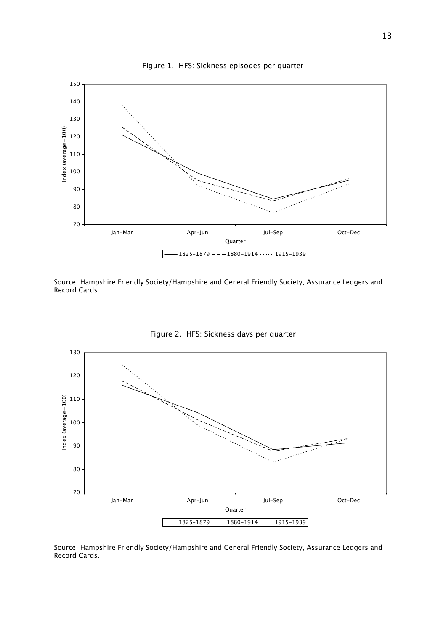

Source: Hampshire Friendly Society/Hampshire and General Friendly Society, Assurance Ledgers and Record Cards.



Figure 2. HFS: Sickness days per quarter

Source: Hampshire Friendly Society/Hampshire and General Friendly Society, Assurance Ledgers and Record Cards.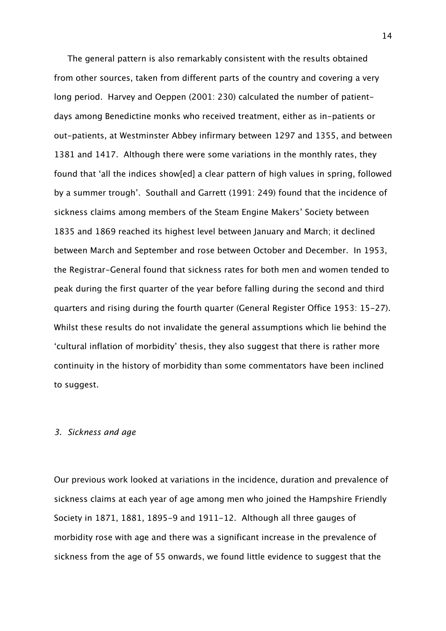The general pattern is also remarkably consistent with the results obtained from other sources, taken from different parts of the country and covering a very long period. Harvey and Oeppen (2001: 230) calculated the number of patientdays among Benedictine monks who received treatment, either as in-patients or out-patients, at Westminster Abbey infirmary between 1297 and 1355, and between 1381 and 1417. Although there were some variations in the monthly rates, they found that 'all the indices show[ed] a clear pattern of high values in spring, followed by a summer trough'. Southall and Garrett (1991: 249) found that the incidence of sickness claims among members of the Steam Engine Makers' Society between 1835 and 1869 reached its highest level between January and March; it declined between March and September and rose between October and December. In 1953, the Registrar-General found that sickness rates for both men and women tended to peak during the first quarter of the year before falling during the second and third quarters and rising during the fourth quarter (General Register Office 1953: 15-27). Whilst these results do not invalidate the general assumptions which lie behind the 'cultural inflation of morbidity' thesis, they also suggest that there is rather more continuity in the history of morbidity than some commentators have been inclined to suggest.

#### 3. Sickness and age

Our previous work looked at variations in the incidence, duration and prevalence of sickness claims at each year of age among men who joined the Hampshire Friendly Society in 1871, 1881, 1895-9 and 1911-12. Although all three gauges of morbidity rose with age and there was a significant increase in the prevalence of sickness from the age of 55 onwards, we found little evidence to suggest that the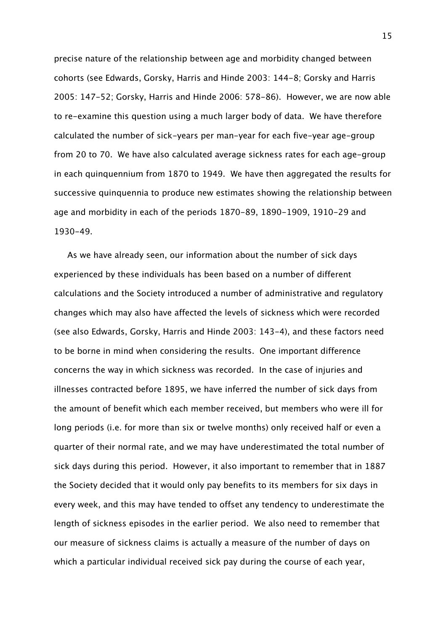precise nature of the relationship between age and morbidity changed between cohorts (see Edwards, Gorsky, Harris and Hinde 2003: 144-8; Gorsky and Harris 2005: 147-52; Gorsky, Harris and Hinde 2006: 578-86). However, we are now able to re-examine this question using a much larger body of data. We have therefore calculated the number of sick-years per man-year for each five-year age-group from 20 to 70. We have also calculated average sickness rates for each age-group in each quinquennium from 1870 to 1949. We have then aggregated the results for successive quinquennia to produce new estimates showing the relationship between age and morbidity in each of the periods 1870-89, 1890-1909, 1910-29 and 1930-49.

As we have already seen, our information about the number of sick days experienced by these individuals has been based on a number of different calculations and the Society introduced a number of administrative and regulatory changes which may also have affected the levels of sickness which were recorded (see also Edwards, Gorsky, Harris and Hinde 2003: 143-4), and these factors need to be borne in mind when considering the results. One important difference concerns the way in which sickness was recorded. In the case of injuries and illnesses contracted before 1895, we have inferred the number of sick days from the amount of benefit which each member received, but members who were ill for long periods (i.e. for more than six or twelve months) only received half or even a quarter of their normal rate, and we may have underestimated the total number of sick days during this period. However, it also important to remember that in 1887 the Society decided that it would only pay benefits to its members for six days in every week, and this may have tended to offset any tendency to underestimate the length of sickness episodes in the earlier period. We also need to remember that our measure of sickness claims is actually a measure of the number of days on which a particular individual received sick pay during the course of each year,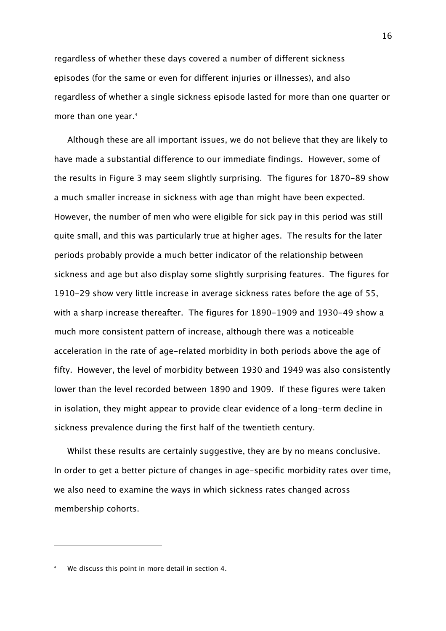regardless of whether these days covered a number of different sickness episodes (for the same or even for different injuries or illnesses), and also regardless of whether a single sickness episode lasted for more than one quarter or more than one year.<sup>4</sup>

Although these are all important issues, we do not believe that they are likely to have made a substantial difference to our immediate findings. However, some of the results in Figure 3 may seem slightly surprising. The figures for 1870-89 show a much smaller increase in sickness with age than might have been expected. However, the number of men who were eligible for sick pay in this period was still quite small, and this was particularly true at higher ages. The results for the later periods probably provide a much better indicator of the relationship between sickness and age but also display some slightly surprising features. The figures for 1910-29 show very little increase in average sickness rates before the age of 55, with a sharp increase thereafter. The figures for 1890-1909 and 1930-49 show a much more consistent pattern of increase, although there was a noticeable acceleration in the rate of age-related morbidity in both periods above the age of fifty. However, the level of morbidity between 1930 and 1949 was also consistently lower than the level recorded between 1890 and 1909. If these figures were taken in isolation, they might appear to provide clear evidence of a long-term decline in sickness prevalence during the first half of the twentieth century.

Whilst these results are certainly suggestive, they are by no means conclusive. In order to get a better picture of changes in age-specific morbidity rates over time, we also need to examine the ways in which sickness rates changed across membership cohorts.

<sup>4</sup> We discuss this point in more detail in section 4.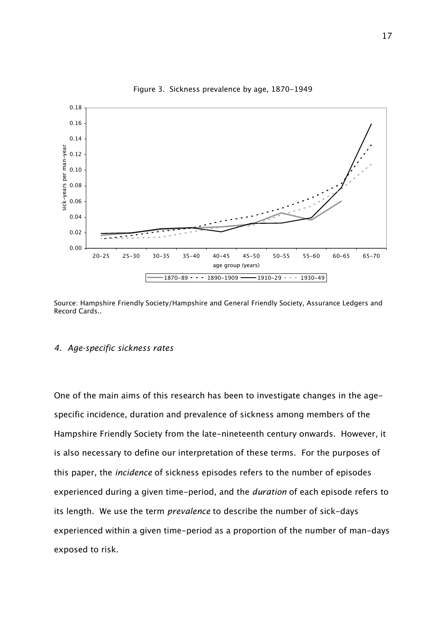

Figure 3. Sickness prevalence by age, 1870-1949

Source: Hampshire Friendly Society/Hampshire and General Friendly Society, Assurance Ledgers and Record Cards..

## 4. Age-specific sickness rates

One of the main aims of this research has been to investigate changes in the agespecific incidence, duration and prevalence of sickness among members of the Hampshire Friendly Society from the late-nineteenth century onwards. However, it is also necessary to define our interpretation of these terms. For the purposes of this paper, the incidence of sickness episodes refers to the number of episodes experienced during a given time-period, and the duration of each episode refers to its length. We use the term *prevalence* to describe the number of sick-days experienced within a given time-period as a proportion of the number of man-days exposed to risk.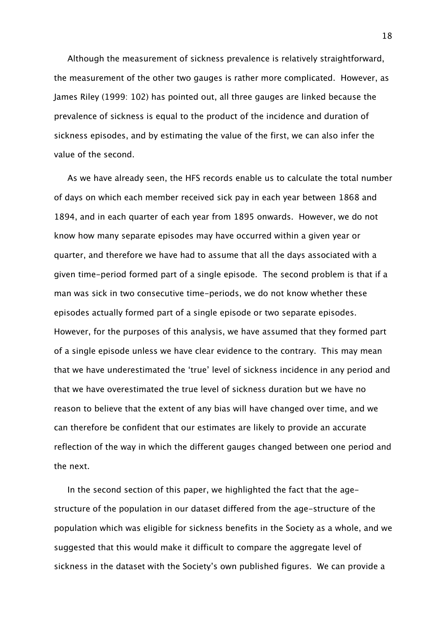Although the measurement of sickness prevalence is relatively straightforward, the measurement of the other two gauges is rather more complicated. However, as James Riley (1999: 102) has pointed out, all three gauges are linked because the prevalence of sickness is equal to the product of the incidence and duration of sickness episodes, and by estimating the value of the first, we can also infer the value of the second.

As we have already seen, the HFS records enable us to calculate the total number of days on which each member received sick pay in each year between 1868 and 1894, and in each quarter of each year from 1895 onwards. However, we do not know how many separate episodes may have occurred within a given year or quarter, and therefore we have had to assume that all the days associated with a given time-period formed part of a single episode. The second problem is that if a man was sick in two consecutive time-periods, we do not know whether these episodes actually formed part of a single episode or two separate episodes. However, for the purposes of this analysis, we have assumed that they formed part of a single episode unless we have clear evidence to the contrary. This may mean that we have underestimated the 'true' level of sickness incidence in any period and that we have overestimated the true level of sickness duration but we have no reason to believe that the extent of any bias will have changed over time, and we can therefore be confident that our estimates are likely to provide an accurate reflection of the way in which the different gauges changed between one period and the next.

In the second section of this paper, we highlighted the fact that the agestructure of the population in our dataset differed from the age-structure of the population which was eligible for sickness benefits in the Society as a whole, and we suggested that this would make it difficult to compare the aggregate level of sickness in the dataset with the Society's own published figures. We can provide a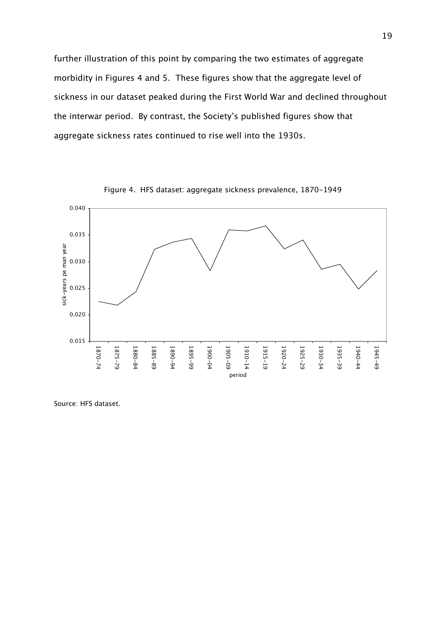further illustration of this point by comparing the two estimates of aggregate morbidity in Figures 4 and 5. These figures show that the aggregate level of sickness in our dataset peaked during the First World War and declined throughout the interwar period. By contrast, the Society's published figures show that aggregate sickness rates continued to rise well into the 1930s.



Figure 4. HFS dataset: aggregate sickness prevalence, 1870-1949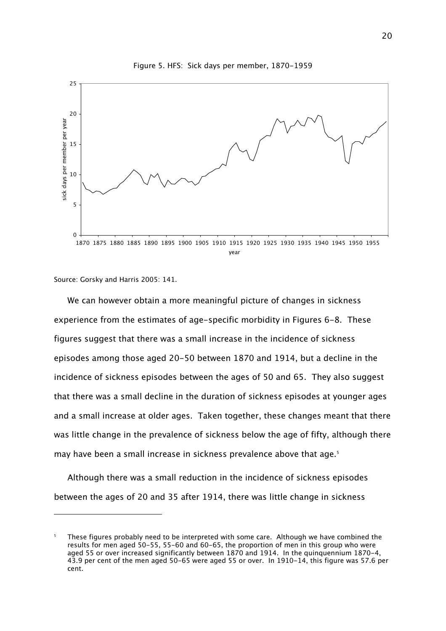

Figure 5. HFS: Sick days per member, 1870-1959

Source: Gorsky and Harris 2005: 141.

ł

We can however obtain a more meaningful picture of changes in sickness experience from the estimates of age-specific morbidity in Figures 6-8. These figures suggest that there was a small increase in the incidence of sickness episodes among those aged 20-50 between 1870 and 1914, but a decline in the incidence of sickness episodes between the ages of 50 and 65. They also suggest that there was a small decline in the duration of sickness episodes at younger ages and a small increase at older ages. Taken together, these changes meant that there was little change in the prevalence of sickness below the age of fifty, although there may have been a small increase in sickness prevalence above that age.<sup>5</sup>

Although there was a small reduction in the incidence of sickness episodes between the ages of 20 and 35 after 1914, there was little change in sickness

<sup>5</sup> These figures probably need to be interpreted with some care. Although we have combined the results for men aged 50-55, 55-60 and 60-65, the proportion of men in this group who were aged 55 or over increased significantly between 1870 and 1914. In the quinquennium 1870-4, 43.9 per cent of the men aged 50-65 were aged 55 or over. In 1910-14, this figure was 57.6 per cent.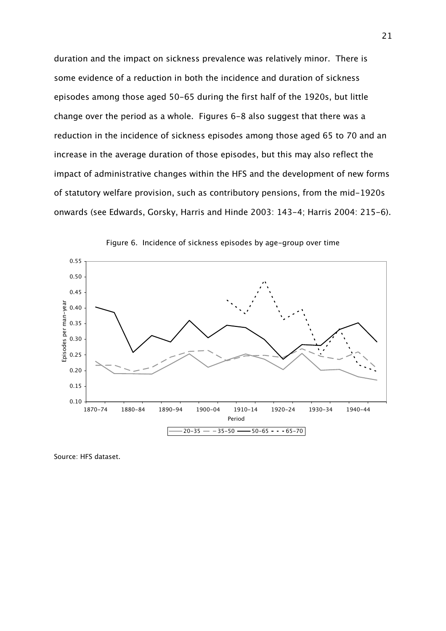duration and the impact on sickness prevalence was relatively minor. There is some evidence of a reduction in both the incidence and duration of sickness episodes among those aged 50-65 during the first half of the 1920s, but little change over the period as a whole. Figures 6-8 also suggest that there was a reduction in the incidence of sickness episodes among those aged 65 to 70 and an increase in the average duration of those episodes, but this may also reflect the impact of administrative changes within the HFS and the development of new forms of statutory welfare provision, such as contributory pensions, from the mid-1920s onwards (see Edwards, Gorsky, Harris and Hinde 2003: 143-4; Harris 2004: 215-6).



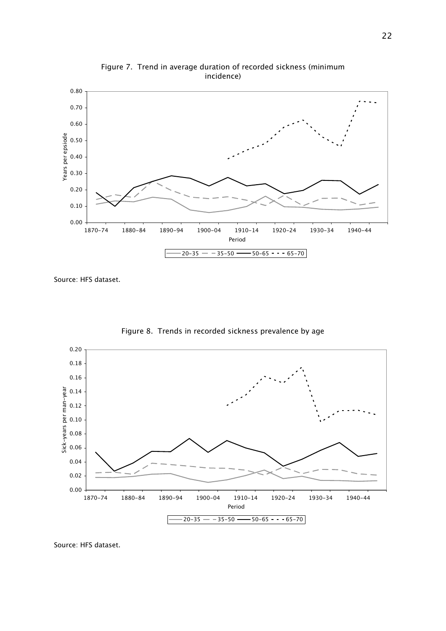

Figure 7. Trend in average duration of recorded sickness (minimum incidence)

Source: HFS dataset.



Figure 8. Trends in recorded sickness prevalence by age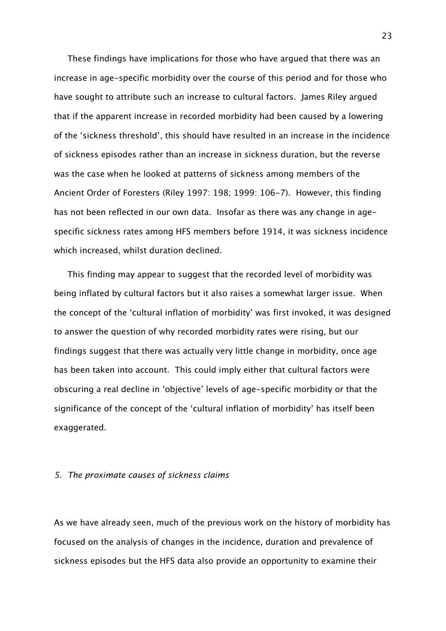These findings have implications for those who have argued that there was an increase in age-specific morbidity over the course of this period and for those who have sought to attribute such an increase to cultural factors. James Riley argued that if the apparent increase in recorded morbidity had been caused by a lowering of the 'sickness threshold', this should have resulted in an increase in the incidence of sickness episodes rather than an increase in sickness duration, but the reverse was the case when he looked at patterns of sickness among members of the Ancient Order of Foresters (Riley 1997: 198; 1999: 106-7). However, this finding has not been reflected in our own data. Insofar as there was any change in agespecific sickness rates among HFS members before 1914, it was sickness incidence which increased, whilst duration declined.

This finding may appear to suggest that the recorded level of morbidity was being inflated by cultural factors but it also raises a somewhat larger issue. When the concept of the 'cultural inflation of morbidity' was first invoked, it was designed to answer the question of why recorded morbidity rates were rising, but our findings suggest that there was actually very little change in morbidity, once age has been taken into account. This could imply either that cultural factors were obscuring a real decline in 'objective' levels of age-specific morbidity or that the significance of the concept of the 'cultural inflation of morbidity' has itself been exaggerated.

### 5. The proximate causes of sickness claims

As we have already seen, much of the previous work on the history of morbidity has focused on the analysis of changes in the incidence, duration and prevalence of sickness episodes but the HFS data also provide an opportunity to examine their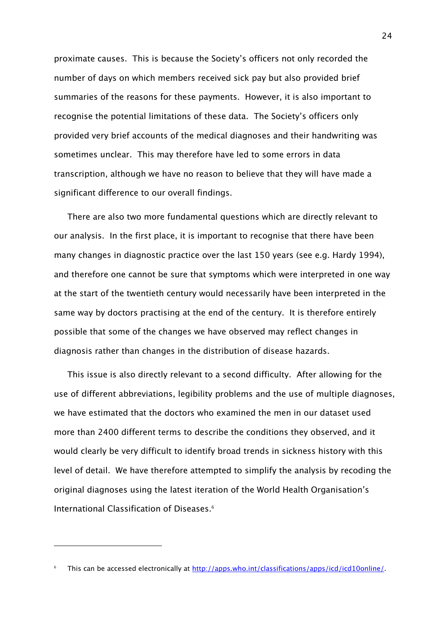proximate causes. This is because the Society's officers not only recorded the number of days on which members received sick pay but also provided brief summaries of the reasons for these payments. However, it is also important to recognise the potential limitations of these data. The Society's officers only provided very brief accounts of the medical diagnoses and their handwriting was sometimes unclear. This may therefore have led to some errors in data transcription, although we have no reason to believe that they will have made a significant difference to our overall findings.

There are also two more fundamental questions which are directly relevant to our analysis. In the first place, it is important to recognise that there have been many changes in diagnostic practice over the last 150 years (see e.g. Hardy 1994), and therefore one cannot be sure that symptoms which were interpreted in one way at the start of the twentieth century would necessarily have been interpreted in the same way by doctors practising at the end of the century. It is therefore entirely possible that some of the changes we have observed may reflect changes in diagnosis rather than changes in the distribution of disease hazards.

This issue is also directly relevant to a second difficulty. After allowing for the use of different abbreviations, legibility problems and the use of multiple diagnoses, we have estimated that the doctors who examined the men in our dataset used more than 2400 different terms to describe the conditions they observed, and it would clearly be very difficult to identify broad trends in sickness history with this level of detail. We have therefore attempted to simplify the analysis by recoding the original diagnoses using the latest iteration of the World Health Organisation's International Classification of Diseases.<sup>6</sup>

<sup>6</sup> This can be accessed electronically at http://apps.who.int/classifications/apps/icd/icd10online/.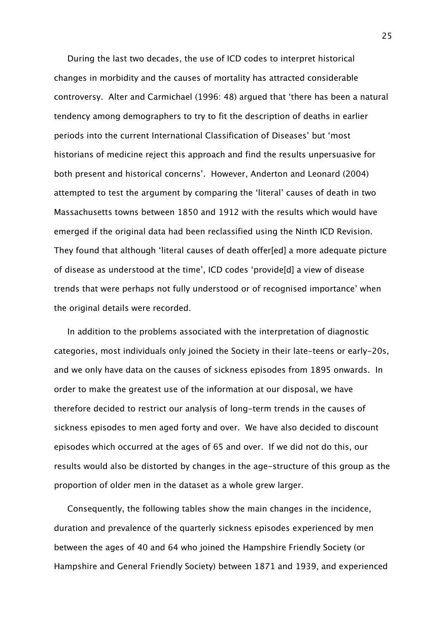During the last two decades, the use of ICD codes to interpret historical changes in morbidity and the causes of mortality has attracted considerable controversy. Alter and Carmichael (1996: 48) argued that 'there has been a natural tendency among demographers to try to fit the description of deaths in earlier periods into the current International Classification of Diseases' but 'most historians of medicine reject this approach and find the results unpersuasive for both present and historical concerns'. However, Anderton and Leonard (2004) attempted to test the argument by comparing the 'literal' causes of death in two Massachusetts towns between 1850 and 1912 with the results which would have emerged if the original data had been reclassified using the Ninth ICD Revision. They found that although 'literal causes of death offer[ed] a more adequate picture of disease as understood at the time', ICD codes 'provide[d] a view of disease trends that were perhaps not fully understood or of recognised importance' when the original details were recorded.

In addition to the problems associated with the interpretation of diagnostic categories, most individuals only joined the Society in their late-teens or early-20s, and we only have data on the causes of sickness episodes from 1895 onwards. In order to make the greatest use of the information at our disposal, we have therefore decided to restrict our analysis of long-term trends in the causes of sickness episodes to men aged forty and over. We have also decided to discount episodes which occurred at the ages of 65 and over. If we did not do this, our results would also be distorted by changes in the age-structure of this group as the proportion of older men in the dataset as a whole grew larger.

Consequently, the following tables show the main changes in the incidence, duration and prevalence of the quarterly sickness episodes experienced by men between the ages of 40 and 64 who joined the Hampshire Friendly Society (or Hampshire and General Friendly Society) between 1871 and 1939, and experienced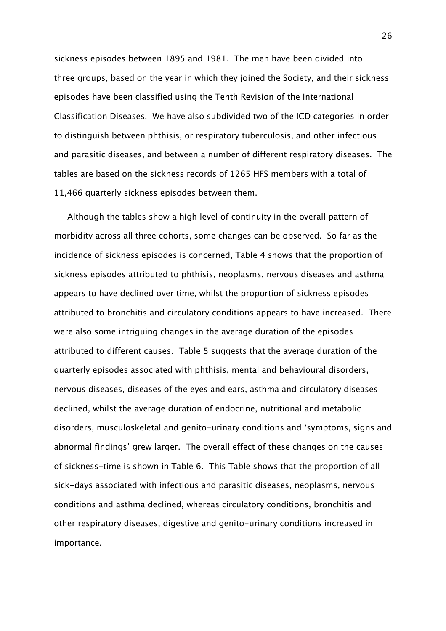sickness episodes between 1895 and 1981. The men have been divided into three groups, based on the year in which they joined the Society, and their sickness episodes have been classified using the Tenth Revision of the International Classification Diseases. We have also subdivided two of the ICD categories in order to distinguish between phthisis, or respiratory tuberculosis, and other infectious and parasitic diseases, and between a number of different respiratory diseases. The tables are based on the sickness records of 1265 HFS members with a total of 11,466 quarterly sickness episodes between them.

Although the tables show a high level of continuity in the overall pattern of morbidity across all three cohorts, some changes can be observed. So far as the incidence of sickness episodes is concerned, Table 4 shows that the proportion of sickness episodes attributed to phthisis, neoplasms, nervous diseases and asthma appears to have declined over time, whilst the proportion of sickness episodes attributed to bronchitis and circulatory conditions appears to have increased. There were also some intriguing changes in the average duration of the episodes attributed to different causes. Table 5 suggests that the average duration of the quarterly episodes associated with phthisis, mental and behavioural disorders, nervous diseases, diseases of the eyes and ears, asthma and circulatory diseases declined, whilst the average duration of endocrine, nutritional and metabolic disorders, musculoskeletal and genito-urinary conditions and 'symptoms, signs and abnormal findings' grew larger. The overall effect of these changes on the causes of sickness-time is shown in Table 6. This Table shows that the proportion of all sick-days associated with infectious and parasitic diseases, neoplasms, nervous conditions and asthma declined, whereas circulatory conditions, bronchitis and other respiratory diseases, digestive and genito-urinary conditions increased in importance.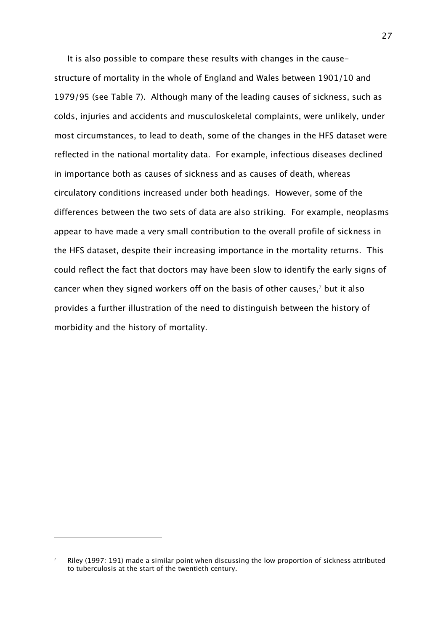It is also possible to compare these results with changes in the causestructure of mortality in the whole of England and Wales between 1901/10 and 1979/95 (see Table 7). Although many of the leading causes of sickness, such as colds, injuries and accidents and musculoskeletal complaints, were unlikely, under most circumstances, to lead to death, some of the changes in the HFS dataset were reflected in the national mortality data. For example, infectious diseases declined in importance both as causes of sickness and as causes of death, whereas circulatory conditions increased under both headings. However, some of the differences between the two sets of data are also striking. For example, neoplasms appear to have made a very small contribution to the overall profile of sickness in the HFS dataset, despite their increasing importance in the mortality returns. This could reflect the fact that doctors may have been slow to identify the early signs of cancer when they signed workers off on the basis of other causes, $^7$  but it also provides a further illustration of the need to distinguish between the history of morbidity and the history of mortality.

ł

<sup>7</sup> Riley (1997: 191) made a similar point when discussing the low proportion of sickness attributed to tuberculosis at the start of the twentieth century.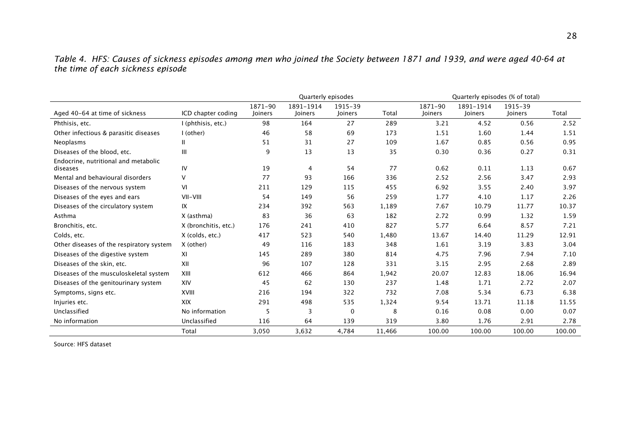|                                   | Table 4. HFS: Causes of sickness episodes among men who joined the Society between 1871 and 1939, and were aged 40-64 at |  |  |  |  |
|-----------------------------------|--------------------------------------------------------------------------------------------------------------------------|--|--|--|--|
| the time of each sickness episode |                                                                                                                          |  |  |  |  |

|                                                  |                      | Quarterly episodes |                      |                    |        |                    | Quarterly episodes (% of total) |                    |        |  |  |
|--------------------------------------------------|----------------------|--------------------|----------------------|--------------------|--------|--------------------|---------------------------------|--------------------|--------|--|--|
| Aged 40-64 at time of sickness                   | ICD chapter coding   | 1871-90<br>Joiners | 1891-1914<br>Joiners | 1915-39<br>Joiners | Total  | 1871-90<br>Joiners | 1891-1914<br>Joiners            | 1915-39<br>Joiners | Total  |  |  |
| Phthisis, etc.                                   | I (phthisis, etc.)   | 98                 | 164                  | 27                 | 289    | 3.21               | 4.52                            | 0.56               | 2.52   |  |  |
| Other infectious & parasitic diseases            | I (other)            | 46                 | 58                   | 69                 | 173    | 1.51               | 1.60                            | 1.44               | 1.51   |  |  |
| Neoplasms                                        | Ш                    | 51                 | 31                   | 27                 | 109    | 1.67               | 0.85                            | 0.56               | 0.95   |  |  |
| Diseases of the blood, etc.                      | III                  | 9                  | 13                   | 13                 | 35     | 0.30               | 0.36                            | 0.27               | 0.31   |  |  |
| Endocrine, nutritional and metabolic<br>diseases | IV                   | 19                 | 4                    | 54                 | 77     | 0.62               | 0.11                            | 1.13               | 0.67   |  |  |
| Mental and behavioural disorders                 | V                    | 77                 | 93                   | 166                | 336    | 2.52               | 2.56                            | 3.47               | 2.93   |  |  |
| Diseases of the nervous system                   | VI                   | 211                | 129                  | 115                | 455    | 6.92               | 3.55                            | 2.40               | 3.97   |  |  |
| Diseases of the eyes and ears                    | VII-VIII             | 54                 | 149                  | 56                 | 259    | 1.77               | 4.10                            | 1.17               | 2.26   |  |  |
| Diseases of the circulatory system               | IX                   | 234                | 392                  | 563                | 1,189  | 7.67               | 10.79                           | 11.77              | 10.37  |  |  |
| Asthma                                           | X (asthma)           | 83                 | 36                   | 63                 | 182    | 2.72               | 0.99                            | 1.32               | 1.59   |  |  |
| Bronchitis, etc.                                 | X (bronchitis, etc.) | 176                | 241                  | 410                | 827    | 5.77               | 6.64                            | 8.57               | 7.21   |  |  |
| Colds, etc.                                      | X (colds, etc.)      | 417                | 523                  | 540                | 1,480  | 13.67              | 14.40                           | 11.29              | 12.91  |  |  |
| Other diseases of the respiratory system         | X (other)            | 49                 | 116                  | 183                | 348    | 1.61               | 3.19                            | 3.83               | 3.04   |  |  |
| Diseases of the digestive system                 | XI                   | 145                | 289                  | 380                | 814    | 4.75               | 7.96                            | 7.94               | 7.10   |  |  |
| Diseases of the skin, etc.                       | XII                  | 96                 | 107                  | 128                | 331    | 3.15               | 2.95                            | 2.68               | 2.89   |  |  |
| Diseases of the musculoskeletal system           | XIII                 | 612                | 466                  | 864                | 1,942  | 20.07              | 12.83                           | 18.06              | 16.94  |  |  |
| Diseases of the genitourinary system             | XIV                  | 45                 | 62                   | 130                | 237    | 1.48               | 1.71                            | 2.72               | 2.07   |  |  |
| Symptoms, signs etc.                             | <b>XVIII</b>         | 216                | 194                  | 322                | 732    | 7.08               | 5.34                            | 6.73               | 6.38   |  |  |
| Injuries etc.                                    | <b>XIX</b>           | 291                | 498                  | 535                | 1,324  | 9.54               | 13.71                           | 11.18              | 11.55  |  |  |
| Unclassified                                     | No information       | 5                  | 3                    | 0                  | 8      | 0.16               | 0.08                            | 0.00               | 0.07   |  |  |
| No information                                   | Unclassified         | 116                | 64                   | 139                | 319    | 3.80               | 1.76                            | 2.91               | 2.78   |  |  |
|                                                  | Total                | 3,050              | 3,632                | 4,784              | 11,466 | 100.00             | 100.00                          | 100.00             | 100.00 |  |  |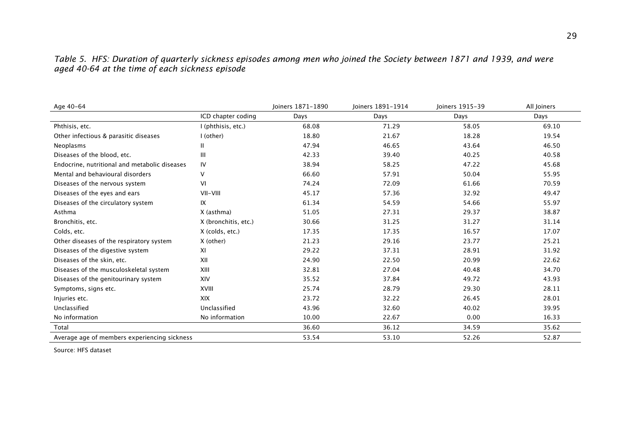| Age 40-64                                     |                      | loiners 1871-1890 | loiners 1891-1914 | Joiners 1915-39 | All Joiners |
|-----------------------------------------------|----------------------|-------------------|-------------------|-----------------|-------------|
|                                               | ICD chapter coding   | Days              | Days              | Days            | Days        |
| Phthisis, etc.                                | I (phthisis, etc.)   | 68.08             | 71.29             | 58.05           | 69.10       |
| Other infectious & parasitic diseases         | I (other)            | 18.80             | 21.67             | 18.28           | 19.54       |
| Neoplasms                                     | $\mathbf{H}$         | 47.94             | 46.65             | 43.64           | 46.50       |
| Diseases of the blood, etc.                   | Ш                    | 42.33             | 39.40             | 40.25           | 40.58       |
| Endocrine, nutritional and metabolic diseases | IV                   | 38.94             | 58.25             | 47.22           | 45.68       |
| Mental and behavioural disorders              | V                    | 66.60             | 57.91             | 50.04           | 55.95       |
| Diseases of the nervous system                | VI                   | 74.24             | 72.09             | 61.66           | 70.59       |
| Diseases of the eyes and ears                 | VII-VIII             | 45.17             | 57.36             | 32.92           | 49.47       |
| Diseases of the circulatory system            | IX                   | 61.34             | 54.59             | 54.66           | 55.97       |
| Asthma                                        | X (asthma)           | 51.05             | 27.31             | 29.37           | 38.87       |
| Bronchitis, etc.                              | X (bronchitis, etc.) | 30.66             | 31.25             | 31.27           | 31.14       |
| Colds, etc.                                   | X (colds, etc.)      | 17.35             | 17.35             | 16.57           | 17.07       |
| Other diseases of the respiratory system      | X (other)            | 21.23             | 29.16             | 23.77           | 25.21       |
| Diseases of the digestive system              | XI                   | 29.22             | 37.31             | 28.91           | 31.92       |
| Diseases of the skin, etc.                    | XII                  | 24.90             | 22.50             | 20.99           | 22.62       |
| Diseases of the musculoskeletal system        | XIII                 | 32.81             | 27.04             | 40.48           | 34.70       |
| Diseases of the genitourinary system          | XIV                  | 35.52             | 37.84             | 49.72           | 43.93       |
| Symptoms, signs etc.                          | <b>XVIII</b>         | 25.74             | 28.79             | 29.30           | 28.11       |
| Injuries etc.                                 | <b>XIX</b>           | 23.72             | 32.22             | 26.45           | 28.01       |
| Unclassified                                  | Unclassified         | 43.96             | 32.60             | 40.02           | 39.95       |
| No information                                | No information       | 10.00             | 22.67             | 0.00            | 16.33       |
| Total                                         |                      | 36.60             | 36.12             | 34.59           | 35.62       |
| Average age of members experiencing sickness  |                      | 53.54             | 53.10             | 52.26           | 52.87       |

Table 5. HFS: Duration of quarterly sickness episodes among men who joined the Society between 1871 and 1939, and were aged 40-64 at the time of each sickness episode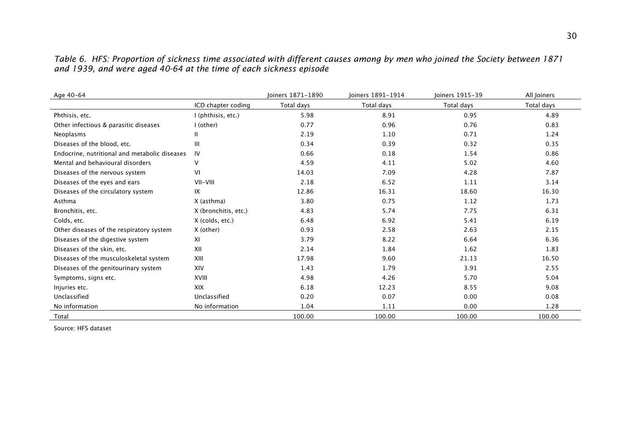Table 6. HFS: Proportion of sickness time associated with different causes among by men who joined the Society between 1871 and 1939, and were aged 40-64 at the time of each sickness episode

| Age 40-64                                     |                      | Joiners 1871-1890 | Joiners 1891-1914 | Joiners 1915-39 | All Joiners |
|-----------------------------------------------|----------------------|-------------------|-------------------|-----------------|-------------|
|                                               | ICD chapter coding   | Total days        | Total days        | Total days      | Total days  |
| Phthisis, etc.                                | I (phthisis, etc.)   | 5.98              | 8.91              | 0.95            | 4.89        |
| Other infectious & parasitic diseases         | I (other)            | 0.77              | 0.96              | 0.76            | 0.83        |
| Neoplasms                                     | Ш                    | 2.19              | 1.10              | 0.71            | 1.24        |
| Diseases of the blood, etc.                   | Ш                    | 0.34              | 0.39              | 0.32            | 0.35        |
| Endocrine, nutritional and metabolic diseases | IV                   | 0.66              | 0.18              | 1.54            | 0.86        |
| Mental and behavioural disorders              | $\vee$               | 4.59              | 4.11              | 5.02            | 4.60        |
| Diseases of the nervous system                | VI                   | 14.03             | 7.09              | 4.28            | 7.87        |
| Diseases of the eyes and ears                 | VII-VIII             | 2.18              | 6.52              | 1.11            | 3.14        |
| Diseases of the circulatory system            | IX                   | 12.86             | 16.31             | 18.60           | 16.30       |
| Asthma                                        | X (asthma)           | 3.80              | 0.75              | 1.12            | 1.73        |
| Bronchitis, etc.                              | X (bronchitis, etc.) | 4.83              | 5.74              | 7.75            | 6.31        |
| Colds, etc.                                   | X (colds, etc.)      | 6.48              | 6.92              | 5.41            | 6.19        |
| Other diseases of the respiratory system      | X (other)            | 0.93              | 2.58              | 2.63            | 2.15        |
| Diseases of the digestive system              | XI                   | 3.79              | 8.22              | 6.64            | 6.36        |
| Diseases of the skin, etc.                    | XII                  | 2.14              | 1.84              | 1.62            | 1.83        |
| Diseases of the musculoskeletal system        | XIII                 | 17.98             | 9.60              | 21.13           | 16.50       |
| Diseases of the genitourinary system          | XIV                  | 1.43              | 1.79              | 3.91            | 2.55        |
| Symptoms, signs etc.                          | XVIII                | 4.98              | 4.26              | 5.70            | 5.04        |
| Injuries etc.                                 | <b>XIX</b>           | 6.18              | 12.23             | 8.55            | 9.08        |
| Unclassified                                  | Unclassified         | 0.20              | 0.07              | 0.00            | 0.08        |
| No information                                | No information       | 1.04              | 1.11              | 0.00            | 1.28        |
| Total                                         |                      | 100.00            | 100.00            | 100.00          | 100.00      |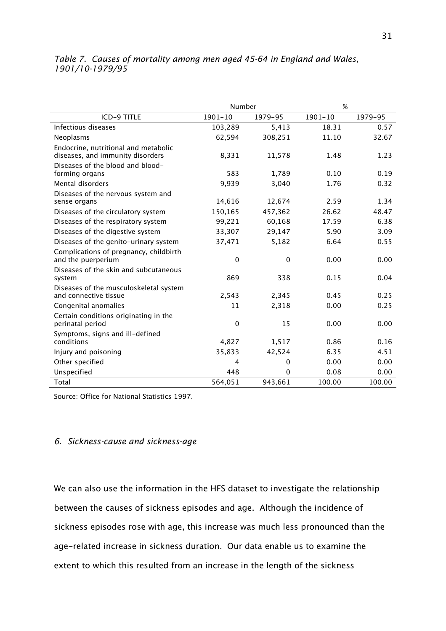## Table 7. Causes of mortality among men aged 45-64 in England and Wales, 1901/10-1979/95

|                                                                          | Number      |             | %           |         |
|--------------------------------------------------------------------------|-------------|-------------|-------------|---------|
| <b>ICD-9 TITLE</b>                                                       | $1901 - 10$ | 1979-95     | $1901 - 10$ | 1979-95 |
| Infectious diseases                                                      | 103,289     | 5,413       | 18.31       | 0.57    |
| Neoplasms                                                                | 62,594      | 308,251     | 11.10       | 32.67   |
| Endocrine, nutritional and metabolic<br>diseases, and immunity disorders | 8,331       | 11,578      | 1.48        | 1.23    |
| Diseases of the blood and blood-<br>forming organs                       | 583         | 1,789       | 0.10        | 0.19    |
| Mental disorders                                                         | 9,939       | 3,040       | 1.76        | 0.32    |
| Diseases of the nervous system and<br>sense organs                       | 14,616      | 12,674      | 2.59        | 1.34    |
| Diseases of the circulatory system                                       | 150,165     | 457,362     | 26.62       | 48.47   |
| Diseases of the respiratory system                                       | 99,221      | 60,168      | 17.59       | 6.38    |
| Diseases of the digestive system                                         | 33,307      | 29,147      | 5.90        | 3.09    |
| Diseases of the genito-urinary system                                    | 37,471      | 5,182       | 6.64        | 0.55    |
| Complications of pregnancy, childbirth<br>and the puerperium             | $\mathbf 0$ | $\Omega$    | 0.00        | 0.00    |
| Diseases of the skin and subcutaneous<br>system                          | 869         | 338         | 0.15        | 0.04    |
| Diseases of the musculoskeletal system<br>and connective tissue          | 2,543       | 2,345       | 0.45        | 0.25    |
| Congenital anomalies                                                     | 11          | 2,318       | 0.00        | 0.25    |
| Certain conditions originating in the<br>perinatal period                | $\mathbf 0$ | 15          | 0.00        | 0.00    |
| Symptoms, signs and ill-defined<br>conditions                            | 4,827       | 1,517       | 0.86        | 0.16    |
| Injury and poisoning                                                     | 35,833      | 42,524      | 6.35        | 4.51    |
| Other specified                                                          | 4           | $\mathbf 0$ | 0.00        | 0.00    |
| Unspecified                                                              | 448         | $\Omega$    | 0.08        | 0.00    |
| Total                                                                    | 564,051     | 943,661     | 100.00      | 100.00  |

Source: Office for National Statistics 1997.

## 6. Sickness-cause and sickness-age

We can also use the information in the HFS dataset to investigate the relationship between the causes of sickness episodes and age. Although the incidence of sickness episodes rose with age, this increase was much less pronounced than the age-related increase in sickness duration. Our data enable us to examine the extent to which this resulted from an increase in the length of the sickness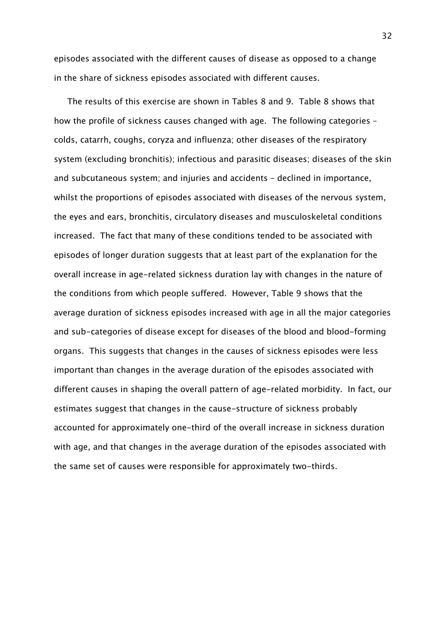episodes associated with the different causes of disease as opposed to a change in the share of sickness episodes associated with different causes.

The results of this exercise are shown in Tables 8 and 9. Table 8 shows that how the profile of sickness causes changed with age. The following categories – colds, catarrh, coughs, coryza and influenza; other diseases of the respiratory system (excluding bronchitis); infectious and parasitic diseases; diseases of the skin and subcutaneous system; and injuries and accidents – declined in importance, whilst the proportions of episodes associated with diseases of the nervous system, the eyes and ears, bronchitis, circulatory diseases and musculoskeletal conditions increased. The fact that many of these conditions tended to be associated with episodes of longer duration suggests that at least part of the explanation for the overall increase in age-related sickness duration lay with changes in the nature of the conditions from which people suffered. However, Table 9 shows that the average duration of sickness episodes increased with age in all the major categories and sub-categories of disease except for diseases of the blood and blood-forming organs. This suggests that changes in the causes of sickness episodes were less important than changes in the average duration of the episodes associated with different causes in shaping the overall pattern of age-related morbidity. In fact, our estimates suggest that changes in the cause-structure of sickness probably accounted for approximately one-third of the overall increase in sickness duration with age, and that changes in the average duration of the episodes associated with the same set of causes were responsible for approximately two-thirds.

32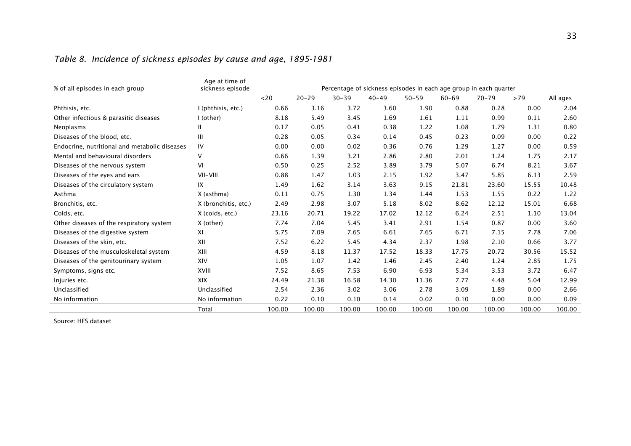| % of all episodes in each group               | Age at time of<br>sickness episode |        |           |           |           |           |           | Percentage of sickness episodes in each age group in each quarter |        |          |
|-----------------------------------------------|------------------------------------|--------|-----------|-----------|-----------|-----------|-----------|-------------------------------------------------------------------|--------|----------|
|                                               |                                    | $<$ 20 | $20 - 29$ | $30 - 39$ | $40 - 49$ | $50 - 59$ | $60 - 69$ | $70 - 79$                                                         | >79    | All ages |
| Phthisis, etc.                                | I (phthisis, etc.)                 | 0.66   | 3.16      | 3.72      | 3.60      | 1.90      | 0.88      | 0.28                                                              | 0.00   | 2.04     |
| Other infectious & parasitic diseases         | I (other)                          | 8.18   | 5.49      | 3.45      | 1.69      | 1.61      | 1.11      | 0.99                                                              | 0.11   | 2.60     |
| Neoplasms                                     | $\mathbf{H}$                       | 0.17   | 0.05      | 0.41      | 0.38      | 1.22      | 1.08      | 1.79                                                              | 1.31   | 0.80     |
| Diseases of the blood, etc.                   | $\mathbf{III}$                     | 0.28   | 0.05      | 0.34      | 0.14      | 0.45      | 0.23      | 0.09                                                              | 0.00   | 0.22     |
| Endocrine, nutritional and metabolic diseases | IV                                 | 0.00   | 0.00      | 0.02      | 0.36      | 0.76      | 1.29      | 1.27                                                              | 0.00   | 0.59     |
| Mental and behavioural disorders              | $\vee$                             | 0.66   | 1.39      | 3.21      | 2.86      | 2.80      | 2.01      | 1.24                                                              | 1.75   | 2.17     |
| Diseases of the nervous system                | VI                                 | 0.50   | 0.25      | 2.52      | 3.89      | 3.79      | 5.07      | 6.74                                                              | 8.21   | 3.67     |
| Diseases of the eyes and ears                 | VII-VIII                           | 0.88   | 1.47      | 1.03      | 2.15      | 1.92      | 3.47      | 5.85                                                              | 6.13   | 2.59     |
| Diseases of the circulatory system            | IX                                 | 1.49   | 1.62      | 3.14      | 3.63      | 9.15      | 21.81     | 23.60                                                             | 15.55  | 10.48    |
| Asthma                                        | X (asthma)                         | 0.11   | 0.75      | 1.30      | 1.34      | 1.44      | 1.53      | 1.55                                                              | 0.22   | 1.22     |
| Bronchitis, etc.                              | X (bronchitis, etc.)               | 2.49   | 2.98      | 3.07      | 5.18      | 8.02      | 8.62      | 12.12                                                             | 15.01  | 6.68     |
| Colds, etc.                                   | X (colds, etc.)                    | 23.16  | 20.71     | 19.22     | 17.02     | 12.12     | 6.24      | 2.51                                                              | 1.10   | 13.04    |
| Other diseases of the respiratory system      | X (other)                          | 7.74   | 7.04      | 5.45      | 3.41      | 2.91      | 1.54      | 0.87                                                              | 0.00   | 3.60     |
| Diseases of the digestive system              | XI                                 | 5.75   | 7.09      | 7.65      | 6.61      | 7.65      | 6.71      | 7.15                                                              | 7.78   | 7.06     |
| Diseases of the skin, etc.                    | XII                                | 7.52   | 6.22      | 5.45      | 4.34      | 2.37      | 1.98      | 2.10                                                              | 0.66   | 3.77     |
| Diseases of the musculoskeletal system        | XIII                               | 4.59   | 8.18      | 11.37     | 17.52     | 18.33     | 17.75     | 20.72                                                             | 30.56  | 15.52    |
| Diseases of the genitourinary system          | XIV                                | 1.05   | 1.07      | 1.42      | 1.46      | 2.45      | 2.40      | 1.24                                                              | 2.85   | 1.75     |
| Symptoms, signs etc.                          | XVIII                              | 7.52   | 8.65      | 7.53      | 6.90      | 6.93      | 5.34      | 3.53                                                              | 3.72   | 6.47     |
| Injuries etc.                                 | <b>XIX</b>                         | 24.49  | 21.38     | 16.58     | 14.30     | 11.36     | 7.77      | 4.48                                                              | 5.04   | 12.99    |
| Unclassified                                  | Unclassified                       | 2.54   | 2.36      | 3.02      | 3.06      | 2.78      | 3.09      | 1.89                                                              | 0.00   | 2.66     |
| No information                                | No information                     | 0.22   | 0.10      | 0.10      | 0.14      | 0.02      | 0.10      | 0.00                                                              | 0.00   | 0.09     |
|                                               | Total                              | 100.00 | 100.00    | 100.00    | 100.00    | 100.00    | 100.00    | 100.00                                                            | 100.00 | 100.00   |

## Table 8. Incidence of sickness episodes by cause and age, 1895-1981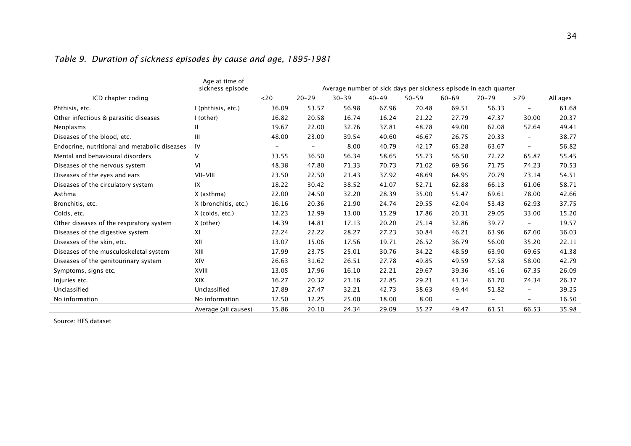|                                               | Age at time of<br>sickness episode |        |                          |           |           |           |                          | Average number of sick days per sickness episode in each quarter |                          |          |
|-----------------------------------------------|------------------------------------|--------|--------------------------|-----------|-----------|-----------|--------------------------|------------------------------------------------------------------|--------------------------|----------|
| ICD chapter coding                            |                                    | $<$ 20 | $20 - 29$                | $30 - 39$ | $40 - 49$ | $50 - 59$ | $60 - 69$                | $70 - 79$                                                        | >79                      | All ages |
| Phthisis, etc.                                | I (phthisis, etc.)                 | 36.09  | 53.57                    | 56.98     | 67.96     | 70.48     | 69.51                    | 56.33                                                            | $\overline{\phantom{a}}$ | 61.68    |
| Other infectious & parasitic diseases         | I (other)                          | 16.82  | 20.58                    | 16.74     | 16.24     | 21.22     | 27.79                    | 47.37                                                            | 30.00                    | 20.37    |
| Neoplasms                                     | Ш                                  | 19.67  | 22.00                    | 32.76     | 37.81     | 48.78     | 49.00                    | 62.08                                                            | 52.64                    | 49.41    |
| Diseases of the blood, etc.                   | Ш                                  | 48.00  | 23.00                    | 39.54     | 40.60     | 46.67     | 26.75                    | 20.33                                                            | $\overline{\phantom{a}}$ | 38.77    |
| Endocrine, nutritional and metabolic diseases | IV                                 |        | $\overline{\phantom{a}}$ | 8.00      | 40.79     | 42.17     | 65.28                    | 63.67                                                            | $\overline{\phantom{a}}$ | 56.82    |
| Mental and behavioural disorders              | v                                  | 33.55  | 36.50                    | 56.34     | 58.65     | 55.73     | 56.50                    | 72.72                                                            | 65.87                    | 55.45    |
| Diseases of the nervous system                | VI                                 | 48.38  | 47.80                    | 71.33     | 70.73     | 71.02     | 69.56                    | 71.75                                                            | 74.23                    | 70.53    |
| Diseases of the eyes and ears                 | VII-VIII                           | 23.50  | 22.50                    | 21.43     | 37.92     | 48.69     | 64.95                    | 70.79                                                            | 73.14                    | 54.51    |
| Diseases of the circulatory system            | IX                                 | 18.22  | 30.42                    | 38.52     | 41.07     | 52.71     | 62.88                    | 66.13                                                            | 61.06                    | 58.71    |
| Asthma                                        | X (asthma)                         | 22.00  | 24.50                    | 32.20     | 28.39     | 35.00     | 55.47                    | 69.61                                                            | 78.00                    | 42.66    |
| Bronchitis, etc.                              | X (bronchitis, etc.)               | 16.16  | 20.36                    | 21.90     | 24.74     | 29.55     | 42.04                    | 53.43                                                            | 62.93                    | 37.75    |
| Colds, etc.                                   | X (colds, etc.)                    | 12.23  | 12.99                    | 13.00     | 15.29     | 17.86     | 20.31                    | 29.05                                                            | 33.00                    | 15.20    |
| Other diseases of the respiratory system      | X (other)                          | 14.39  | 14.81                    | 17.13     | 20.20     | 25.14     | 32.86                    | 39.77                                                            | $\overline{a}$           | 19.57    |
| Diseases of the digestive system              | ΧI                                 | 22.24  | 22.22                    | 28.27     | 27.23     | 30.84     | 46.21                    | 63.96                                                            | 67.60                    | 36.03    |
| Diseases of the skin, etc.                    | XII                                | 13.07  | 15.06                    | 17.56     | 19.71     | 26.52     | 36.79                    | 56.00                                                            | 35.20                    | 22.11    |
| Diseases of the musculoskeletal system        | XIII                               | 17.99  | 23.75                    | 25.01     | 30.76     | 34.22     | 48.59                    | 63.90                                                            | 69.65                    | 41.38    |
| Diseases of the genitourinary system          | XIV                                | 26.63  | 31.62                    | 26.51     | 27.78     | 49.85     | 49.59                    | 57.58                                                            | 58.00                    | 42.79    |
| Symptoms, signs etc.                          | XVIII                              | 13.05  | 17.96                    | 16.10     | 22.21     | 29.67     | 39.36                    | 45.16                                                            | 67.35                    | 26.09    |
| Injuries etc.                                 | <b>XIX</b>                         | 16.27  | 20.32                    | 21.16     | 22.85     | 29.21     | 41.34                    | 61.70                                                            | 74.34                    | 26.37    |
| Unclassified                                  | Unclassified                       | 17.89  | 27.47                    | 32.21     | 42.73     | 38.63     | 49.44                    | 51.82                                                            | $\overline{\phantom{a}}$ | 39.25    |
| No information                                | No information                     | 12.50  | 12.25                    | 25.00     | 18.00     | 8.00      | $\overline{\phantom{a}}$ | $\overline{\phantom{a}}$                                         | $\overline{\phantom{m}}$ | 16.50    |
|                                               | Average (all causes)               | 15.86  | 20.10                    | 24.34     | 29.09     | 35.27     | 49.47                    | 61.51                                                            | 66.53                    | 35.98    |

# Table 9. Duration of sickness episodes by cause and age, 1895-1981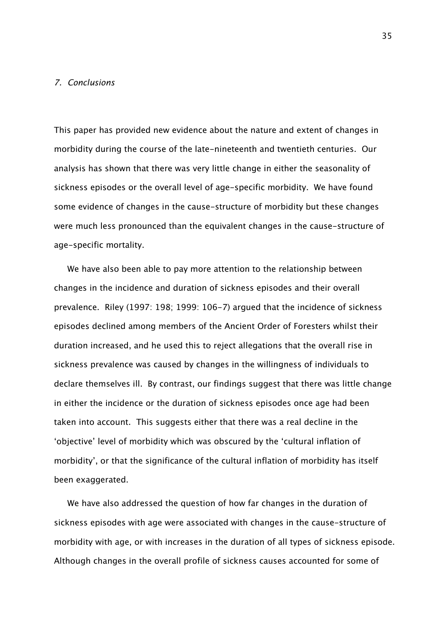#### 7. Conclusions

This paper has provided new evidence about the nature and extent of changes in morbidity during the course of the late-nineteenth and twentieth centuries. Our analysis has shown that there was very little change in either the seasonality of sickness episodes or the overall level of age-specific morbidity. We have found some evidence of changes in the cause-structure of morbidity but these changes were much less pronounced than the equivalent changes in the cause-structure of age-specific mortality.

We have also been able to pay more attention to the relationship between changes in the incidence and duration of sickness episodes and their overall prevalence. Riley (1997: 198; 1999: 106-7) argued that the incidence of sickness episodes declined among members of the Ancient Order of Foresters whilst their duration increased, and he used this to reject allegations that the overall rise in sickness prevalence was caused by changes in the willingness of individuals to declare themselves ill. By contrast, our findings suggest that there was little change in either the incidence or the duration of sickness episodes once age had been taken into account. This suggests either that there was a real decline in the 'objective' level of morbidity which was obscured by the 'cultural inflation of morbidity', or that the significance of the cultural inflation of morbidity has itself been exaggerated.

We have also addressed the question of how far changes in the duration of sickness episodes with age were associated with changes in the cause-structure of morbidity with age, or with increases in the duration of all types of sickness episode. Although changes in the overall profile of sickness causes accounted for some of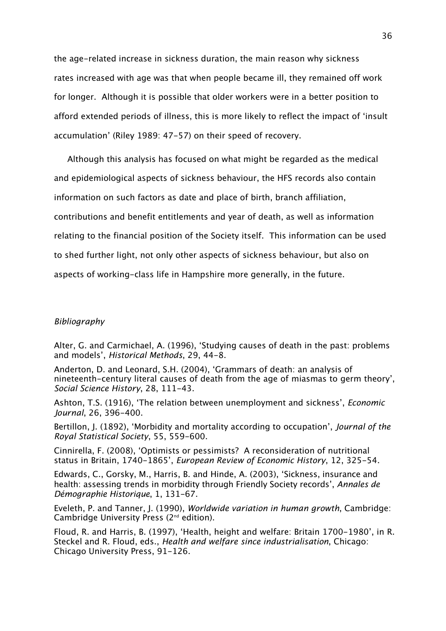the age-related increase in sickness duration, the main reason why sickness rates increased with age was that when people became ill, they remained off work for longer. Although it is possible that older workers were in a better position to afford extended periods of illness, this is more likely to reflect the impact of 'insult accumulation' (Riley 1989: 47-57) on their speed of recovery.

Although this analysis has focused on what might be regarded as the medical and epidemiological aspects of sickness behaviour, the HFS records also contain information on such factors as date and place of birth, branch affiliation, contributions and benefit entitlements and year of death, as well as information relating to the financial position of the Society itself. This information can be used to shed further light, not only other aspects of sickness behaviour, but also on aspects of working-class life in Hampshire more generally, in the future.

#### Bibliography

Alter, G. and Carmichael, A. (1996), 'Studying causes of death in the past: problems and models', Historical Methods, 29, 44-8.

Anderton, D. and Leonard, S.H. (2004), 'Grammars of death: an analysis of nineteenth-century literal causes of death from the age of miasmas to germ theory', Social Science History, 28, 111-43.

Ashton, T.S. (1916), 'The relation between unemployment and sickness', Economic Journal, 26, 396-400.

Bertillon, J. (1892), 'Morbidity and mortality according to occupation', Journal of the Royal Statistical Society, 55, 559-600.

Cinnirella, F. (2008), 'Optimists or pessimists? A reconsideration of nutritional status in Britain, 1740-1865', European Review of Economic History, 12, 325-54.

Edwards, C., Gorsky, M., Harris, B. and Hinde, A. (2003), 'Sickness, insurance and health: assessing trends in morbidity through Friendly Society records', Annales de Démographie Historique, 1, 131-67.

Eveleth, P. and Tanner, J. (1990), Worldwide variation in human growth, Cambridge: Cambridge University Press (2nd edition).

Floud, R. and Harris, B. (1997), 'Health, height and welfare: Britain 1700-1980', in R. Steckel and R. Floud, eds., Health and welfare since industrialisation, Chicago: Chicago University Press, 91-126.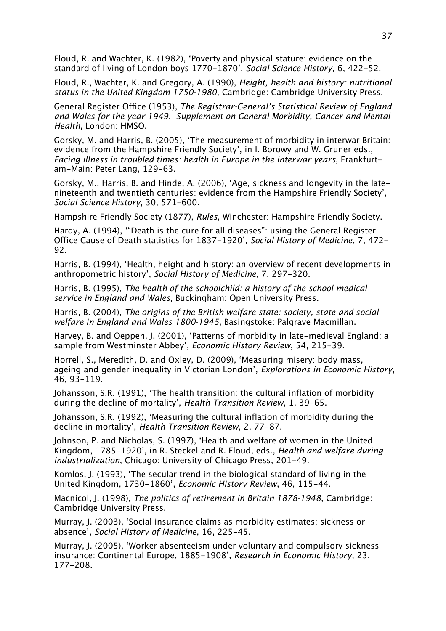Floud, R. and Wachter, K. (1982), 'Poverty and physical stature: evidence on the standard of living of London boys 1770-1870', Social Science History, 6, 422-52.

Floud, R., Wachter, K. and Gregory, A. (1990), Height, health and history: nutritional status in the United Kingdom 1750-1980, Cambridge: Cambridge University Press.

General Register Office (1953), The Registrar-General's Statistical Review of England and Wales for the year 1949. Supplement on General Morbidity, Cancer and Mental Health, London: HMSO.

Gorsky, M. and Harris, B. (2005), 'The measurement of morbidity in interwar Britain: evidence from the Hampshire Friendly Society', in I. Borowy and W. Gruner eds., Facing illness in troubled times: health in Europe in the interwar years, Frankfurtam-Main: Peter Lang, 129-63.

Gorsky, M., Harris, B. and Hinde, A. (2006), 'Age, sickness and longevity in the latenineteenth and twentieth centuries: evidence from the Hampshire Friendly Society', Social Science History, 30, 571-600.

Hampshire Friendly Society (1877), Rules, Winchester: Hampshire Friendly Society.

Hardy, A. (1994), '"Death is the cure for all diseases": using the General Register Office Cause of Death statistics for 1837-1920', Social History of Medicine, 7, 472- 92.

Harris, B. (1994), 'Health, height and history: an overview of recent developments in anthropometric history', Social History of Medicine, 7, 297-320.

Harris, B. (1995), The health of the schoolchild: a history of the school medical service in England and Wales, Buckingham: Open University Press.

Harris, B. (2004), The origins of the British welfare state: society, state and social welfare in England and Wales 1800-1945, Basingstoke: Palgrave Macmillan.

Harvey, B. and Oeppen, J. (2001), 'Patterns of morbidity in late-medieval England: a sample from Westminster Abbey', Economic History Review, 54, 215-39.

Horrell, S., Meredith, D. and Oxley, D. (2009), 'Measuring misery: body mass, ageing and gender inequality in Victorian London', Explorations in Economic History, 46, 93-119.

Johansson, S.R. (1991), 'The health transition: the cultural inflation of morbidity during the decline of mortality', Health Transition Review, 1, 39-65.

Johansson, S.R. (1992), 'Measuring the cultural inflation of morbidity during the decline in mortality', Health Transition Review, 2, 77-87.

Johnson, P. and Nicholas, S. (1997), 'Health and welfare of women in the United Kingdom, 1785-1920', in R. Steckel and R. Floud, eds., Health and welfare during industrialization, Chicago: University of Chicago Press, 201-49.

Komlos, J. (1993), 'The secular trend in the biological standard of living in the United Kingdom, 1730-1860', Economic History Review, 46, 115-44.

Macnicol, J. (1998), The politics of retirement in Britain 1878-1948, Cambridge: Cambridge University Press.

Murray, J. (2003), 'Social insurance claims as morbidity estimates: sickness or absence', Social History of Medicine, 16, 225-45.

Murray, J. (2005), 'Worker absenteeism under voluntary and compulsory sickness insurance: Continental Europe, 1885-1908', Research in Economic History, 23, 177-208.